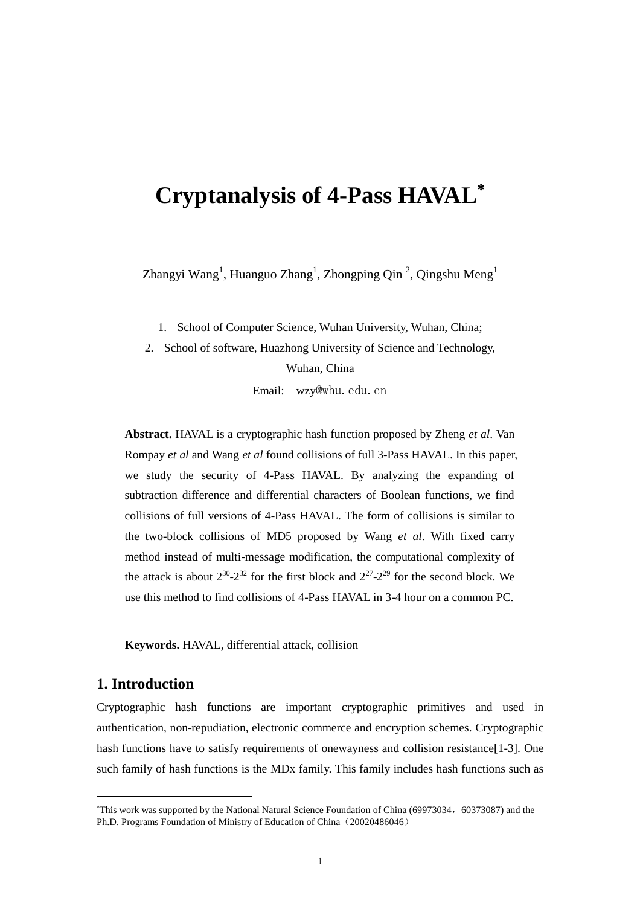# **Cryptanalysis of 4-Pass HAVAL**

Zhangyi Wang<sup>1</sup>, Huanguo Zhang<sup>1</sup>, Zhongping Qin<sup>2</sup>, Qingshu Meng<sup>1</sup>

1. School of Computer Science, Wuhan University, Wuhan, China;

2. School of software, Huazhong University of Science and Technology, Wuhan, China

Email: wzy@whu.edu.cn

**Abstract.** HAVAL is a cryptographic hash function proposed by Zheng *et al*. Van Rompay *et al* and Wang *et al* found collisions of full 3-Pass HAVAL. In this paper, we study the security of 4-Pass HAVAL. By analyzing the expanding of subtraction difference and differential characters of Boolean functions, we find collisions of full versions of 4-Pass HAVAL. The form of collisions is similar to the two-block collisions of MD5 proposed by Wang *et al*. With fixed carry method instead of multi-message modification, the computational complexity of the attack is about  $2^{30}$ - $2^{32}$  for the first block and  $2^{27}$ - $2^{29}$  for the second block. We use this method to find collisions of 4-Pass HAVAL in 3-4 hour on a common PC.

**Keywords.** HAVAL, differential attack, collision

## **1. Introduction**

Cryptographic hash functions are important cryptographic primitives and used in authentication, non-repudiation, electronic commerce and encryption schemes. Cryptographic hash functions have to satisfy requirements of onewayness and collision resistance [1-3]. One such family of hash functions is the MDx family. This family includes hash functions such as

<sup>&</sup>lt;sup>\*</sup>This work was supported by the National Natural Science Foundation of China (69973034, 60373087) and the Ph.D. Programs Foundation of Ministry of Education of China (20020486046)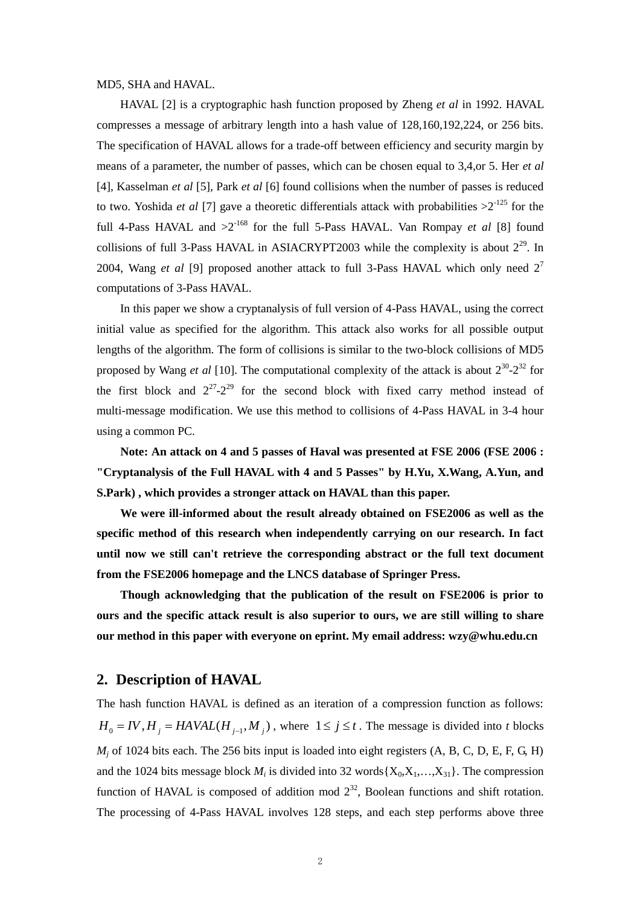MD5, SHA and HAVAL.

HAVAL [2] is a cryptographic hash function proposed by Zheng *et al* in 1992. HAVAL compresses a message of arbitrary length into a hash value of 128,160,192,224, or 256 bits. The specification of HAVAL allows for a trade-off between efficiency and security margin by means of a parameter, the number of passes, which can be chosen equal to 3,4,or 5. Her *et al* [4], Kasselman *et al* [5], Park *et al* [6] found collisions when the number of passes is reduced to two. Yoshida *et al* [7] gave a theoretic differentials attack with probabilities  $>2^{125}$  for the full 4-Pass HAVAL and  $>2^{168}$  for the full 5-Pass HAVAL. Van Rompay *et al* [8] found collisions of full 3-Pass HAVAL in ASIACRYPT2003 while the complexity is about  $2^{29}$ . In 2004, Wang *et al* [9] proposed another attack to full 3-Pass HAVAL which only need 2<sup>7</sup> computations of 3-Pass HAVAL.

In this paper we show a cryptanalysis of full version of 4-Pass HAVAL, using the correct initial value as specified for the algorithm. This attack also works for all possible output lengths of the algorithm. The form of collisions is similar to the two-block collisions of MD5 proposed by Wang *et al* [10]. The computational complexity of the attack is about  $2^{30}$ - $2^{32}$  for the first block and  $2^{27}$ - $2^{29}$  for the second block with fixed carry method instead of multi-message modification. We use this method to collisions of 4-Pass HAVAL in 3-4 hour using a common PC.

**Note: An attack on 4 and 5 passes of Haval was presented at FSE 2006 (FSE 2006 : "Cryptanalysis of the Full HAVAL with 4 and 5 Passes" by H.Yu, X.Wang, A.Yun, and S.Park) , which provides a stronger attack on HAVAL than this paper.**

**We were ill-informed about the result already obtained on FSE2006 as well as the specific method of this research when independently carrying on our research. In fact until now we still can't retrieve the corresponding abstract or the full text document from the FSE2006 homepage and the LNCS database of Springer Press.**

**Though acknowledging that the publication of the result on FSE2006 is prior to ours and the specific attack result is also superior to ours, we are still willing to share our method in this paper with everyone on eprint. My email address: wzy@whu.edu.cn**

## **2. Description of HAVAL**

The hash function HAVAL is defined as an iteration of a compression function as follows:  $H_0 = IV$ ,  $H_j = HAVAL(H_{j-1}, M_j)$ , where  $1 \le j \le t$ . The message is divided into *t* blocks  $M_i$  of 1024 bits each. The 256 bits input is loaded into eight registers  $(A, B, C, D, E, F, G, H)$ and the 1024 bits message block  $M_i$  is divided into 32 words  $\{X_0, X_1, \ldots, X_{31}\}\$ . The compression function of HAVAL is composed of addition mod  $2^{32}$ , Boolean functions and shift rotation. The processing of 4-Pass HAVAL involves 128 steps, and each step performs above three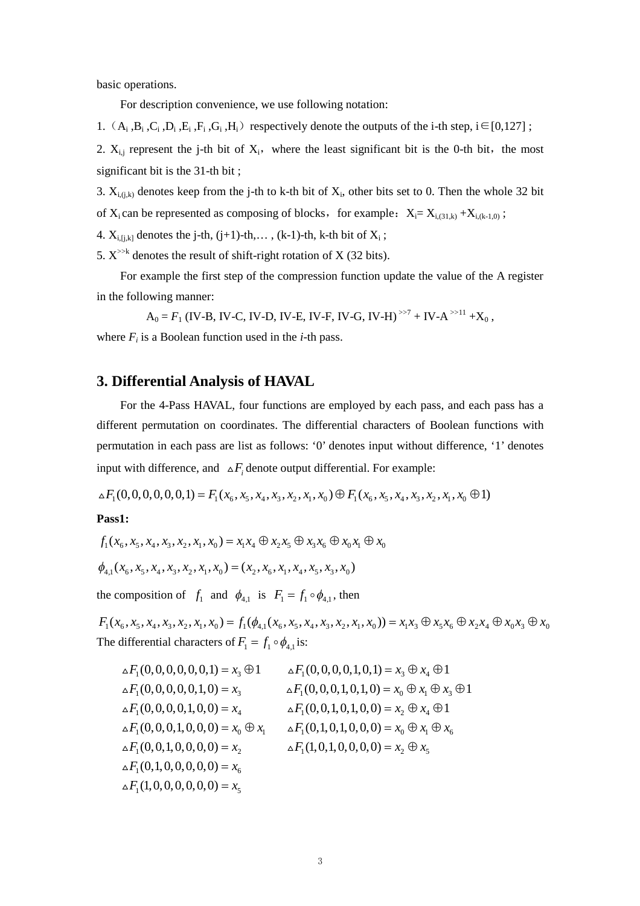basic operations.

For description convenience, we use following notation:

1.  $(A_i, B_i, C_i, D_i, E_i, F_i, G_i, H_i)$  respectively denote the outputs of the i-th step,  $i \in [0,127]$ ;

2.  $X_{i,j}$  represent the j-th bit of  $X_i$ , where the least significant bit is the 0-th bit, the most significant bit is the 31-th bit ;

3.  $X_{i,(j,k)}$  denotes keep from the j-th to k-th bit of  $X_i$ , other bits set to 0. Then the whole 32 bit of  $X_i$  can be represented as composing of blocks, for example:  $X_i = X_{i,(31,k)} + X_{i,(k-1,0)}$ ;

4.  $X_{i,[j,k]}$  denotes the j-th,  $(j+1)$ -th,...,  $(k-1)$ -th, k-th bit of  $X_i$ ;

5.  $X^{\gg k}$  denotes the result of shift-right rotation of X (32 bits).

For example the first step of the compression function update the value of the A register in the following manner:

 $A_0 = F_1$  (IV-B, IV-C, IV-D, IV-E, IV-F, IV-G, IV-H)<sup> $>7$ </sup> + IV-A<sup> $>11$ </sup> +X<sub>0</sub>, where  $F_i$  is a Boolean function used in the *i*-th pass.

## **3. Differential Analysis of HAVAL**

For the 4-Pass HAVAL, four functions are employed by each pass, and each pass has a different permutation on coordinates. The differential characters of Boolean functions with permutation in each pass are list as follows: '0'denotes input without difference, '1'denotes input with difference, and  $\Delta F_i$  denote output differential. For example:

 $\Delta F_1(0, 0, 0, 0, 0, 0, 1) = F_1(x_6, x_5, x_4, x_3, x_7, x_1, x_0) \oplus F_1(x_6, x_5, x_4, x_3, x_7, x_1, x_0 \oplus 1)$ 

#### **Pass1:**

$$
f_1(x_6, x_5, x_4, x_3, x_2, x_1, x_0) = x_1 x_4 \oplus x_2 x_5 \oplus x_3 x_6 \oplus x_0 x_1 \oplus x_0
$$
  

$$
\phi_{4,1}(x_6, x_5, x_4, x_3, x_2, x_1, x_0) = (x_2, x_6, x_1, x_4, x_5, x_3, x_0)
$$

the composition of  $f_1$  and  $\phi_{4,1}$  is  $F_1 = f_1 \circ \phi_{4,1}$ , then

 $F_1(x_6, x_5, x_4, x_3, x_2, x_1, x_0) = f_1(\phi_{4,1}(x_6, x_5, x_4, x_3, x_2, x_1, x_0)) = x_1x_3 \oplus x_5x_6 \oplus x_2x_4 \oplus x_0x_3 \oplus x_0$ The differential characters of  $F_1 = f_1 \circ \phi_{4,1}$  is:

$$
\Delta F_1(0,0,0,0,0,0,1) = x_3 \oplus 1 \qquad \Delta F_1(0,0,0,0,0,1,0,1) = x_3 \oplus x_4 \oplus 1
$$
  
\n
$$
\Delta F_1(0,0,0,0,0,0,1,0) = x_3 \qquad \Delta F_1(0,0,0,0,1,0,1,0) = x_0 \oplus x_1 \oplus x_3 \oplus 1
$$
  
\n
$$
\Delta F_1(0,0,0,0,0,0,0,0) = x_4 \qquad \Delta F_1(0,0,1,0,1,0,0) = x_2 \oplus x_4 \oplus 1
$$
  
\n
$$
\Delta F_1(0,0,0,0,0,0,0) = x_0 \oplus x_1 \qquad \Delta F_1(0,1,0,1,0,0,0) = x_0 \oplus x_1 \oplus x_6
$$
  
\n
$$
\Delta F_1(0,0,1,0,0,0,0,0) = x_2 \qquad \Delta F_1(1,0,1,0,0,0,0) = x_2 \oplus x_5
$$
  
\n
$$
\Delta F_1(1,0,0,0,0,0,0,0) = x_5 \qquad \Delta F_1(1,0,1,0,0,0,0) = x_2 \oplus x_5
$$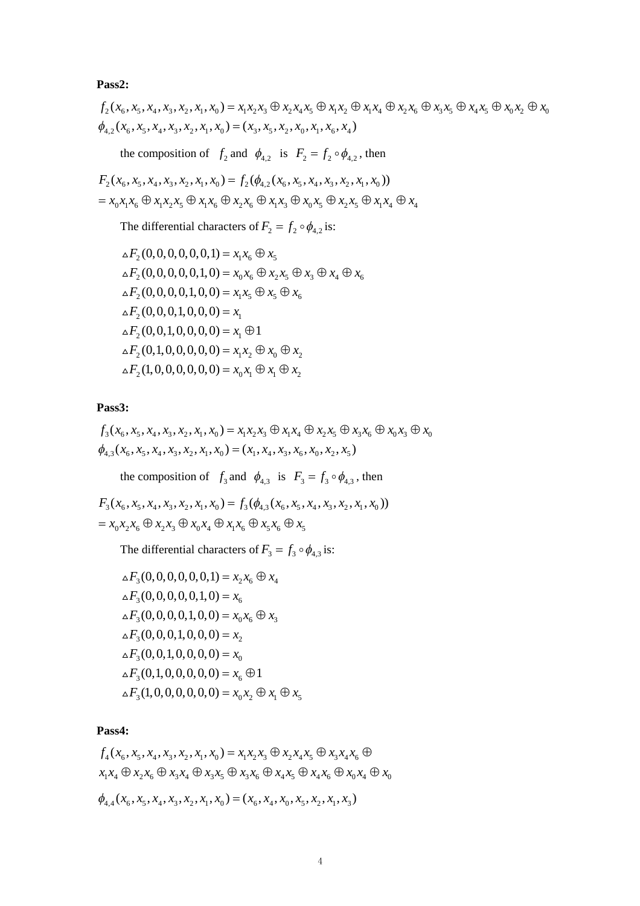**Pass2:**

$$
f_2(x_6, x_5, x_4, x_3, x_2, x_1, x_0) = x_1x_2x_3 \oplus x_2x_4x_5 \oplus x_1x_2 \oplus x_1x_4 \oplus x_2x_6 \oplus x_3x_5 \oplus x_4x_5 \oplus x_0x_2 \oplus x_0
$$
  

$$
\phi_{4,2}(x_6, x_5, x_4, x_3, x_2, x_1, x_0) = (x_3, x_5, x_2, x_0, x_1, x_6, x_4)
$$

the composition of  $f_2$  and  $\phi_{4,2}$  is  $F_2 = f_2 \circ \phi_{4,2}$ , then

$$
F_2(x_6, x_5, x_4, x_3, x_2, x_1, x_0) = f_2(\phi_{4,2}(x_6, x_5, x_4, x_3, x_2, x_1, x_0))
$$
  
=  $x_0x_1x_6 \oplus x_1x_2x_5 \oplus x_1x_6 \oplus x_2x_6 \oplus x_1x_3 \oplus x_0x_5 \oplus x_2x_5 \oplus x_1x_4 \oplus x_4$ 

The differential characters of  $F_2 = f_2 \circ \phi_{4,2}$  is:

$$
\Delta F_2(0,0,0,0,0,0,1) = x_1 x_6 \oplus x_5
$$
  
\n
$$
\Delta F_2(0,0,0,0,0,1,0) = x_0 x_6 \oplus x_2 x_5 \oplus x_3 \oplus x_4 \oplus x_6
$$
  
\n
$$
\Delta F_2(0,0,0,0,1,0,0) = x_1 x_5 \oplus x_5 \oplus x_6
$$
  
\n
$$
\Delta F_2(0,0,0,1,0,0,0) = x_1
$$
  
\n
$$
\Delta F_2(0,0,1,0,0,0,0) = x_1 \oplus 1
$$
  
\n
$$
\Delta F_2(0,1,0,0,0,0,0) = x_1 x_2 \oplus x_0 \oplus x_2
$$
  
\n
$$
\Delta F_2(1,0,0,0,0,0,0) = x_0 x_1 \oplus x_1 \oplus x_2
$$

**Pass3:**

$$
f_3(x_6, x_5, x_4, x_3, x_2, x_1, x_0) = x_1x_2x_3 \oplus x_1x_4 \oplus x_2x_5 \oplus x_3x_6 \oplus x_0x_3 \oplus x_0
$$
  

$$
\phi_{4,3}(x_6, x_5, x_4, x_3, x_2, x_1, x_0) = (x_1, x_4, x_3, x_6, x_0, x_2, x_5)
$$

the composition of  $f_3$  and  $\phi_{4,3}$  is  $F_3 = f_3 \circ \phi_{4,3}$ , then

 $F_3(x_6, x_5, x_4, x_3, x_2, x_1, x_0) = f_3(\phi_{4,3}(x_6, x_5, x_4, x_3, x_2, x_1, x_0))$  $= x_0 x_2 x_6 \oplus x_2 x_3 \oplus x_0 x_4 \oplus x_1 x_6 \oplus x_5 x_6 \oplus x_5$ 

The differential characters of  $F_3 = f_3 \circ \phi_{4,3}$  is:

$$
\Delta F_3(0,0,0,0,0,0,1) = x_2 x_6 \oplus x_4
$$
  
\n
$$
\Delta F_3(0,0,0,0,0,1,0) = x_6
$$
  
\n
$$
\Delta F_3(0,0,0,0,0,1,0,0) = x_0 x_6 \oplus x_3
$$
  
\n
$$
\Delta F_3(0,0,0,0,1,0,0,0) = x_2
$$
  
\n
$$
\Delta F_3(0,0,1,0,0,0,0) = x_0
$$
  
\n
$$
\Delta F_3(0,1,0,0,0,0,0) = x_6 \oplus 1
$$
  
\n
$$
\Delta F_3(1,0,0,0,0,0,0) = x_0 x_2 \oplus x_1 \oplus x_5
$$

#### **Pass4:**

 $f_4(x_6, x_5, x_4, x_3, x_2, x_1, x_0) = x_1 x_2 x_3 \oplus x_2 x_4 x_5 \oplus x_3 x_4 x_6 \oplus x_4 x_7$  $x_1 x_4 \oplus x_2 x_6 \oplus x_3 x_4 \oplus x_3 x_5 \oplus x_3 x_6 \oplus x_4 x_5 \oplus x_4 x_6 \oplus x_0 x_4 \oplus x_0$ 

 $\phi_{4,4}$   $(x_6, x_5, x_4, x_3, x_2, x_1, x_0) = (x_6, x_4, x_0, x_5, x_2, x_1, x_3)$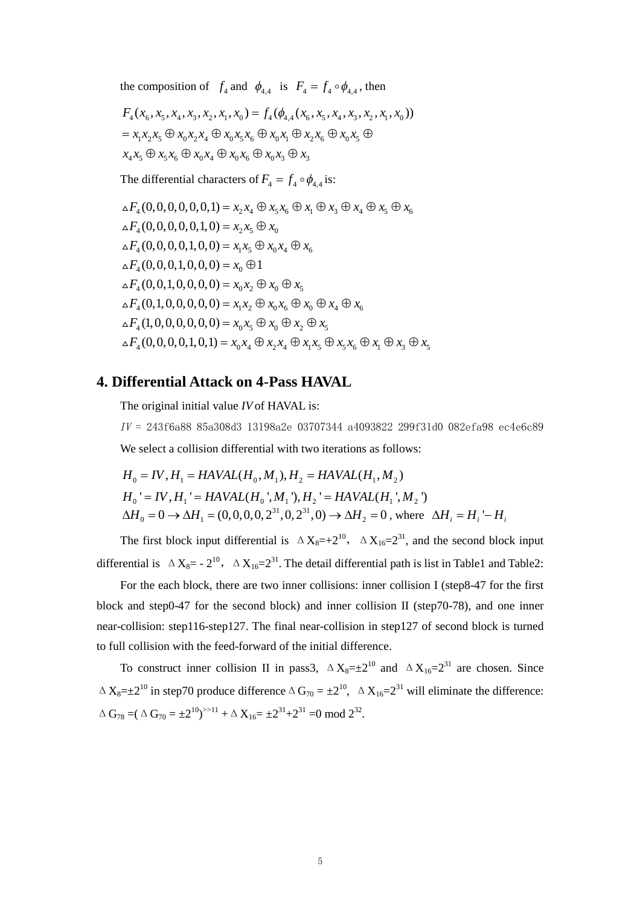the composition of  $f_4$  and  $\phi_{4,4}$  is  $F_4 = f_4 \circ \phi_{4,4}$ , then

$$
F_4(x_6, x_5, x_4, x_3, x_2, x_1, x_0) = f_4(\phi_{4,4}(x_6, x_5, x_4, x_3, x_2, x_1, x_0))
$$
  
=  $x_1x_2x_5 \oplus x_0x_2x_4 \oplus x_0x_5x_6 \oplus x_0x_1 \oplus x_2x_6 \oplus x_0x_5 \oplus x_4x_5$   
 $x_4x_5 \oplus x_5x_6 \oplus x_0x_4 \oplus x_0x_6 \oplus x_0x_3 \oplus x_3$ 

The differential characters of  $F_4 = f_4 \circ \phi_{4,4}$  is:

$$
\Delta F_4(0,0,0,0,0,0,1) = x_2 x_4 \oplus x_5 x_6 \oplus x_1 \oplus x_3 \oplus x_4 \oplus x_5 \oplus x_6
$$
  
\n
$$
\Delta F_4(0,0,0,0,0,1,0) = x_2 x_5 \oplus x_0
$$
  
\n
$$
\Delta F_4(0,0,0,0,0,1,0,0) = x_1 x_5 \oplus x_0 x_4 \oplus x_6
$$
  
\n
$$
\Delta F_4(0,0,0,0,1,0,0,0) = x_0 \oplus 1
$$
  
\n
$$
\Delta F_4(0,0,1,0,0,0,0) = x_0 x_2 \oplus x_0 \oplus x_5
$$
  
\n
$$
\Delta F_4(0,1,0,0,0,0,0) = x_1 x_2 \oplus x_0 x_6 \oplus x_0 \oplus x_4 \oplus x_6
$$
  
\n
$$
\Delta F_4(1,0,0,0,0,0,0) = x_0 x_5 \oplus x_0 \oplus x_2 \oplus x_5
$$
  
\n
$$
\Delta F_4(0,0,0,0,0,1,0,1) = x_0 x_4 \oplus x_2 x_4 \oplus x_1 x_5 \oplus x_5 x_6 \oplus x_1 \oplus x_3 \oplus x_5
$$

## **4. Differential Attack on 4**-**Pass HAVAL**

The original initial value *IV* of HAVAL is:

 $IV = 243f6a8885a308d313198a2e03707344a4093822299f31d0082efa98ec4e6c89$ We select a collision differential with two iterations as follows:

$$
H_0 = IV, H_1 = HAVAL(H_0, M_1), H_2 = HAVAL(H_1, M_2)
$$
  
\n
$$
H_0' = IV, H_1' = HAVAL(H_0', M_1'), H_2' = HAVAL(H_1', M_2')
$$
  
\n
$$
\Delta H_0 = 0 \rightarrow \Delta H_1 = (0, 0, 0, 0, 2^{31}, 0, 2^{31}, 0) \rightarrow \Delta H_2 = 0
$$
, where  $\Delta H_i = H_i' - H_i$ 

The first block input differential is  $\Delta X_8 = +2^{10}$ ,  $\Delta X_{16} = 2^{31}$ , and the second block input differential is  $\Delta X_8 = -2^{10}$ ,  $\Delta X_{16} = 2^{31}$ . The detail differential path is list in Table1 and Table2:

For the each block, there are two inner collisions: inner collision I (step8-47 for the first block and step0-47 for the second block) and inner collision II (step70-78), and one inner near-collision: step116-step127. The final near-collision in step127 of second block is turned to full collision with the feed-forward of the initial difference.

To construct inner collision II in pass3,  $\Delta X_8 = \pm 2^{10}$  and  $\Delta X_{16} = 2^{31}$  are chosen. Since  $\Delta X_8 = \pm 2^{10}$  in step70 produce difference  $\Delta G_{70} = \pm 2^{10}$ ,  $\Delta X_{16} = 2^{31}$  will eliminate the difference:  $\Delta G_{78} = (\Delta G_{70} = \pm 2^{10})^{5 \times 11} + \Delta X_{16} = \pm 2^{31} + 2^{31} = 0 \mod 2^{32}.$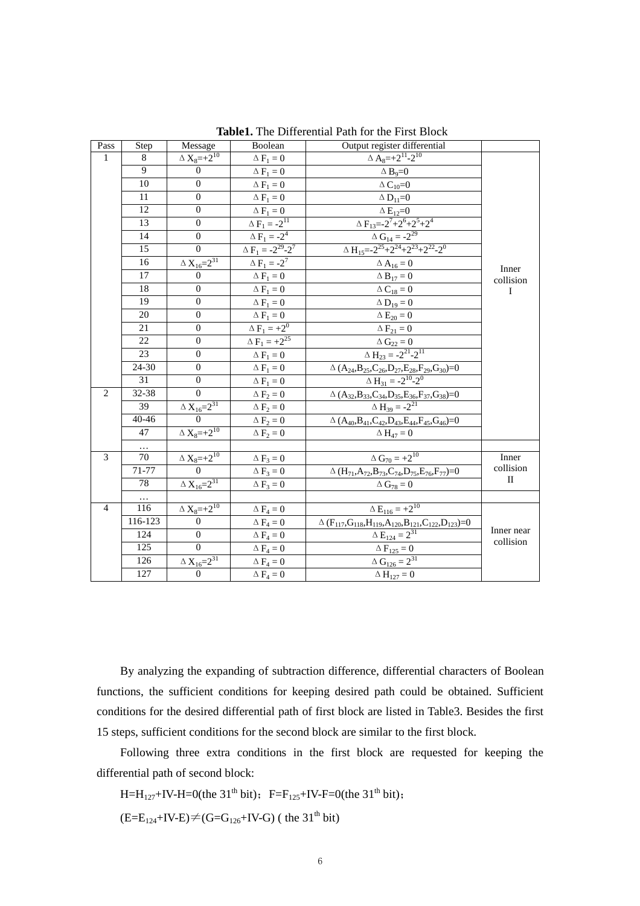| Pass           | Step      | Message                                             | Boolean                      | <b>Table1.</b> The Diriciclinal I am for the I fist Drock<br>Output register differential                                                       |                           |  |  |
|----------------|-----------|-----------------------------------------------------|------------------------------|-------------------------------------------------------------------------------------------------------------------------------------------------|---------------------------|--|--|
| 1              | 8         | $\Delta$ $\mathrm{X}_{8}$ $\!\!=$ $\!\!+\!\!2^{10}$ | $\Delta F_1=0$               | $\Delta A_8 = +2^{11} - 2^{10}$                                                                                                                 |                           |  |  |
|                | 9         | $\boldsymbol{0}$                                    | $\Delta F_1 = 0$             | $\Delta B_9=0$                                                                                                                                  |                           |  |  |
|                | 10        | $\boldsymbol{0}$                                    | $\Delta F_1 = 0$             | $\Delta C_{10}=0$                                                                                                                               |                           |  |  |
|                | 11        | $\overline{0}$                                      | $\Delta F_1 = 0$             | $\Delta$ D <sub>11</sub> =0                                                                                                                     |                           |  |  |
|                | 12        | $\overline{0}$                                      | $\Delta F_1=0$               |                                                                                                                                                 |                           |  |  |
|                | 13        | $\boldsymbol{0}$                                    | $\Delta F_1 = -2^{11}$       | $\frac{\Delta E_{12}=0}{\Delta F_{13}= -2^7 + 2^6 + 2^5 + 2^4}$                                                                                 |                           |  |  |
|                | 14        | $\boldsymbol{0}$                                    | $\Delta\,F_1 = -2^4$         |                                                                                                                                                 |                           |  |  |
|                | 15        | $\overline{0}$                                      | $\Delta F_1 = -2^{29} - 2^7$ | $\frac{\Delta\ G_{14} = -2^{29}}{\Delta\ H_{15} = -2^{25} + 2^{24} + 2^{23} + 2^{22} - 2^0}$                                                    |                           |  |  |
|                | 16        | $\Delta\,X_{16}\!\!=\!\!2^{31}$                     | $\Delta F_1 = -2^7$          | $\Delta A_{16} = 0$                                                                                                                             |                           |  |  |
|                | 17        | $\overline{0}$                                      | $\Delta F_1 = 0$             | $\Delta B_{17} = 0$                                                                                                                             | Inner<br>collision        |  |  |
|                | 18        | $\boldsymbol{0}$                                    | $\Delta F_1 = 0$             | $\Delta C_{18} = 0$                                                                                                                             | I                         |  |  |
|                | 19        | $\boldsymbol{0}$                                    | $\Delta F_1=0$               | $\Delta D_{19} = 0$                                                                                                                             |                           |  |  |
|                | 20        | $\boldsymbol{0}$                                    | $\Delta F_1 = 0$             | $\Delta E_{20} = 0$                                                                                                                             |                           |  |  |
|                | 21        | $\boldsymbol{0}$                                    | $\Delta F_1 = +2^0$          | $\Delta F_{21} = 0$                                                                                                                             |                           |  |  |
|                | 22        | $\boldsymbol{0}$                                    | $\Delta F_1 = +2^{25}$       | $\Delta\; G_{22}=0$                                                                                                                             |                           |  |  |
|                | 23        | $\boldsymbol{0}$                                    | $\Delta\,F_1=0$              | $\overline{\Delta H_{23}} = -2^{21} - 2^{11}$                                                                                                   |                           |  |  |
|                | 24-30     | $\boldsymbol{0}$                                    | $\Delta F_1 = 0$             | $\Delta$ $(\text{A}_{24},\text{B}_{25},\text{C}_{26},\text{D}_{27},\text{E}_{28},\text{F}_{29},\text{G}_{30}){=}0$                              |                           |  |  |
|                | 31        | $\boldsymbol{0}$                                    | $\Delta\,F_1=0$              | $\Delta H_{31} = -2^{10} - 2^{0}$                                                                                                               |                           |  |  |
| 2              | $32 - 38$ | $\overline{0}$                                      | $\Delta F_2 = 0$             | $\Delta$ $({\rm A}_{32}, {\rm B}_{33}, {\rm C}_{34}, {\rm D}_{35}, {\rm E}_{36}, {\rm F}_{37}, {\rm G}_{38})\hspace{-0.03in}=\hspace{-0.03in}0$ |                           |  |  |
|                | 39        | $\frac{\Delta X_{16}=2^{31}}{0}$                    | $\Delta F_2 = 0$             | $\Delta H_{39} = -2^{21}$                                                                                                                       |                           |  |  |
|                | $40 - 46$ |                                                     | $\Delta F_2 = 0$             | $\Delta (A_{40},B_{41},C_{42},D_{43},E_{44},F_{45},G_{46})=0$                                                                                   |                           |  |  |
|                | 47        | $\Delta$ $\overline{X_8} = +2^{10}$                 | $\Delta F_2 = 0$             | $\Delta H_{47} = 0$                                                                                                                             |                           |  |  |
|                |           |                                                     |                              |                                                                                                                                                 |                           |  |  |
| 3              | 70        | $\frac{\Delta X_8 = +2^{10}}{0}$                    | $\Delta F_3 = 0$             | $\Delta G_{70} = +2^{10}$                                                                                                                       | Inner                     |  |  |
|                | 71-77     |                                                     | $\Delta F_3 = 0$             | $\Delta\, (H_{71},\!A_{72},\!B_{73},\!C_{\underline{74}},\!D_{75},\!E_{76},\!F_{77})\!\!=\!\!0$                                                 | collision<br>$\mathbf{I}$ |  |  |
|                | 78        | $\Delta X_{16} = 2^{31}$                            | $\Delta F_3 = 0$             | $\Delta G_{78} = 0$                                                                                                                             |                           |  |  |
|                |           |                                                     |                              |                                                                                                                                                 |                           |  |  |
| $\overline{4}$ | 116       | $\Delta$ $\rm X_8=+2^{10}$                          | $\Delta F_4 = 0$             | $\Delta E_{116} = +2^{10}$                                                                                                                      |                           |  |  |
|                | 116-123   | $\theta$                                            | $\Delta F_4 = 0$             | $\frac{\Delta\left(F_{117},G_{118},H_{119},A_{120},B_{121},C_{122},D_{123}\right)=0}{\Delta\,E_{124}=2^{31}}$                                   | Inner near                |  |  |
|                | 124       | $\boldsymbol{0}$                                    |                              | $\Delta F_4 = 0$                                                                                                                                |                           |  |  |
|                | 125       | $\overline{0}$                                      | $\Delta F_4 = 0$             | $\Delta F_{125} = 0$                                                                                                                            | collision                 |  |  |
|                | 126       | $\Delta\,X_{16}\!\!=\!\!2^{31}$                     | $\Delta F_4 = 0$             | $\Delta G_{126} = 2^{31}$                                                                                                                       |                           |  |  |
|                | 127       | $\overline{0}$                                      | $\Delta F_4 = 0$             | $\Delta H_{127} = 0$                                                                                                                            |                           |  |  |

**Table1.** The Differential Path for the First Block

By analyzing the expanding of subtraction difference, differential characters of Boolean functions, the sufficient conditions for keeping desired path could be obtained. Sufficient conditions for the desired differential path of first block are listed in Table3. Besides the first 15 steps, sufficient conditions for the second block are similar to the first block.

Following three extra conditions in the first block are requested for keeping the differential path of second block:

H=H<sub>127</sub>+IV-H=0(the 31<sup>th</sup> bit); F=F<sub>125</sub>+IV-F=0(the 31<sup>th</sup> bit);

 $(E=E_{124}+IV-E)\neq(G=G_{126}+IV-G)$  (the 31<sup>th</sup> bit)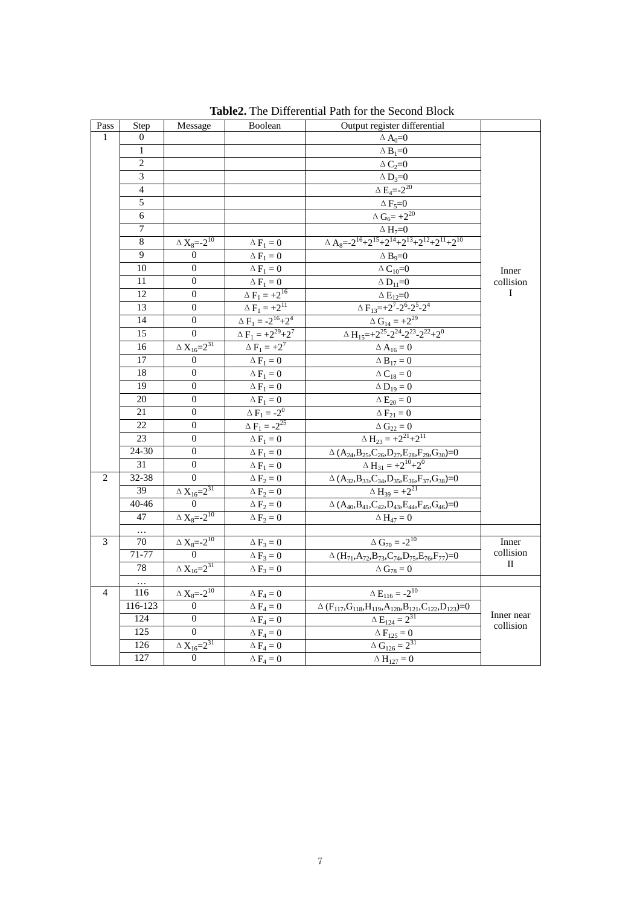| $\mathbf{Pass}$ | Step           | Message                                 | Boolean                           | Output register differential                                                                                                                        |                |  |  |  |
|-----------------|----------------|-----------------------------------------|-----------------------------------|-----------------------------------------------------------------------------------------------------------------------------------------------------|----------------|--|--|--|
| $\mathbf{1}$    | $\theta$       |                                         |                                   | $\Delta A_0=0$                                                                                                                                      |                |  |  |  |
|                 | 1              |                                         |                                   | $\triangle$ B <sub>1</sub> =0                                                                                                                       |                |  |  |  |
|                 | $\overline{2}$ |                                         |                                   | $\Delta C_2=0$                                                                                                                                      |                |  |  |  |
|                 | $\overline{3}$ |                                         |                                   | $\Delta$ D <sub>3</sub> =0                                                                                                                          |                |  |  |  |
|                 | $\overline{4}$ |                                         |                                   | $\Delta E_4 = -2^{20}$                                                                                                                              |                |  |  |  |
|                 | 5              |                                         |                                   | $\overline{\Delta}$ F <sub>5</sub> =0                                                                                                               |                |  |  |  |
|                 | 6              |                                         |                                   | $\Delta G_6 = +2^{20}$                                                                                                                              |                |  |  |  |
|                 | 7              |                                         |                                   |                                                                                                                                                     |                |  |  |  |
|                 | $\overline{8}$ | $\Delta$ $\mathrm{X}_{8}$ =-2 $^{10}$   | $\Delta F_1 = 0$                  | $\frac{\Delta H_7\!\!=\!\!0}{\Delta A_8\!\!=\!\!-2^{16}\!\!+\!\!2^{15}\!\!+\!\!2^{14}\!\!+\!\!2^{13}\!\!+\!\!2^{12}\!\!+\!\!2^{11}\!\!+\!\!2^{10}}$ |                |  |  |  |
|                 | 9              | $\Omega$                                | $\Delta F_1 = 0$                  | $\Delta B_0 = 0$                                                                                                                                    |                |  |  |  |
|                 | 10             | $\boldsymbol{0}$                        | $\Delta F_1 = 0$                  | $\Delta C_{10} = 0$                                                                                                                                 | Inner          |  |  |  |
|                 | 11             | $\boldsymbol{0}$                        | $\Delta F_1=0$                    | $\Delta$ D <sub>11</sub> =0                                                                                                                         | collision      |  |  |  |
|                 | 12             | $\overline{0}$                          | $\Delta\,F_1=+2^{16}$             | $\Delta$ $\rm E_{12}\!\!=\!\!0$                                                                                                                     | Ι              |  |  |  |
|                 | 13             | $\theta$                                | $\Delta F_1 = +2^{11}$            | $\Delta F_{13} = +2^7 - 2^6 - 2^5 - 2^4$                                                                                                            |                |  |  |  |
|                 | 14             | $\boldsymbol{0}$                        | $\Delta F_1 = -2^{16} + 2^4$      | $\Delta G_{14} = +2^{29}$                                                                                                                           |                |  |  |  |
|                 | 15             | $\theta$                                | $\Delta F_1 = +2^{29}+2^7$        | $\Delta H_{15} = +2^{25} - 2^{24} - 2^{23} - 2^{22} + 2^{0}$                                                                                        |                |  |  |  |
|                 | 16             | $\Delta X_{16} = 2^{31}$                | $\Delta F_1 = +2^7$               | $\Delta A_{16} = 0$                                                                                                                                 |                |  |  |  |
|                 | 17             | $\overline{0}$                          | $\Delta F_1 = 0$                  | $\Delta B_{17} = 0$                                                                                                                                 |                |  |  |  |
|                 | 18             | $\mathbf{0}$                            | $\Delta$ $\mathrm{F_1} = 0$       | $\Delta$ $\mathbf{C}_{18}=0$                                                                                                                        |                |  |  |  |
|                 | 19             | $\boldsymbol{0}$                        | $\Delta F_1=0$                    | $\Delta D_{19}=0$                                                                                                                                   |                |  |  |  |
|                 | 20             | $\boldsymbol{0}$                        | $\Delta F_1=0$                    | $\Delta E_{20} = 0$                                                                                                                                 |                |  |  |  |
|                 | 21             | $\boldsymbol{0}$                        | $\Delta F_1 = -2^0$               | $\Delta F_{21} = 0$                                                                                                                                 |                |  |  |  |
|                 | 22             | $\boldsymbol{0}$                        | $\overline{\Delta F}_1 = -2^{25}$ | $\Delta$ $\mathbf{G}_{22}=0$                                                                                                                        |                |  |  |  |
|                 | 23             | $\mathbf{0}$                            | $\Delta F_1 = 0$                  | $\Delta H_{23} = +2^{21} + 2^{11}$                                                                                                                  |                |  |  |  |
|                 | 24-30          | $\boldsymbol{0}$                        | $\Delta F_1 = 0$                  | $\Delta\, (A_{24},\!B_{25},\!C_{26},\!D_{27},\!E_{28},\!F_{29},\!G_{30})\!\!=\!\!0$                                                                 |                |  |  |  |
|                 | 31             | $\boldsymbol{0}$                        | $\Delta F_1 = 0$                  | $\Delta H_{31} = +2^{10} + 2^{0}$                                                                                                                   |                |  |  |  |
| 2               | 32-38          | $\Omega$                                | $\Delta F_2 = 0$                  | $\frac{\Delta (A_{32},B_{33},C_{34},D_{35},E_{36},F_{37},G_{38})=0}{\Delta H_{39}=+2^{21}}$                                                         |                |  |  |  |
|                 | 39             | $\Delta X_{16} = 2^{31}$                | $\Delta F_2 = 0$                  |                                                                                                                                                     |                |  |  |  |
|                 | 40-46          | $\boldsymbol{0}$                        | $\Delta F_2 = 0$                  | $\Delta\, (A_{40},\!B_{41},\!C_{42},\!D_{43},\!E_{44},\!F_{45},\!G_{46})\!\!=\!\!0$                                                                 |                |  |  |  |
|                 | 47             | $\Delta$ $\mathrm{X}_{8}$ =-2 $^{10}$   | $\Delta F_2 = 0$                  | $\Delta H_{47} = 0$                                                                                                                                 |                |  |  |  |
|                 | $\ldots$       |                                         |                                   |                                                                                                                                                     |                |  |  |  |
| 3               | 70             | $\Delta$ $\mathbf{X}_8\!\!=\!\!-2^{10}$ | $\Delta F_3 = 0$                  | $\Delta G_{70} = -2^{10}$                                                                                                                           | Inner          |  |  |  |
|                 | $71 - 77$      | $\overline{0}$                          | $\Delta F_3 = 0$                  | $\Delta \, (H_{71},\!A_{72},\!B_{73},\!C_{74},\!D_{75},\!E_{76},\!F_{77})\!\!=\!\!0$                                                                | collision<br>П |  |  |  |
|                 | 78             | $\Delta X_{16} = 2^{31}$                | $\Delta F_3 = 0$                  | $\Delta\,G_{78}=0$                                                                                                                                  |                |  |  |  |
|                 | $\ldots$       |                                         |                                   |                                                                                                                                                     |                |  |  |  |
| $\overline{4}$  | 116            | $\Delta$ $\mathbf{X}_{8}$ =-2 $^{10}$   | $\Delta F_4 = 0$                  | $\Delta E_{116} = -2^{10}$                                                                                                                          |                |  |  |  |
|                 | $116 - 123$    | $\mathbf{0}$                            | $\Delta$ $F_4=0$                  | $\Delta\left(F_{117},G_{118},H_{119},A_{120},B_{121},C_{122},D_{123}\right)\!\!=\!\!0$                                                              | Inner near     |  |  |  |
|                 | 124            | $\overline{0}$                          | $\Delta F_4 = 0$                  | $\Delta E_{124} = 2^{31}$                                                                                                                           | collision      |  |  |  |
|                 | 125            | $\boldsymbol{0}$                        | $\Delta F_4 = 0$                  | $\Delta F_{125} = 0$                                                                                                                                |                |  |  |  |
|                 | 126            | $\Delta X_{16} = 2^{31}$                | $\Delta F_4 = 0$                  | $\Delta G_{126} = 2^{31}$                                                                                                                           |                |  |  |  |
|                 | 127            | $\mathbf{0}$                            | $\Delta F_4 = 0$                  | $\Delta H_{127} = 0$                                                                                                                                |                |  |  |  |

**Table2.** The Differential Path for the Second Block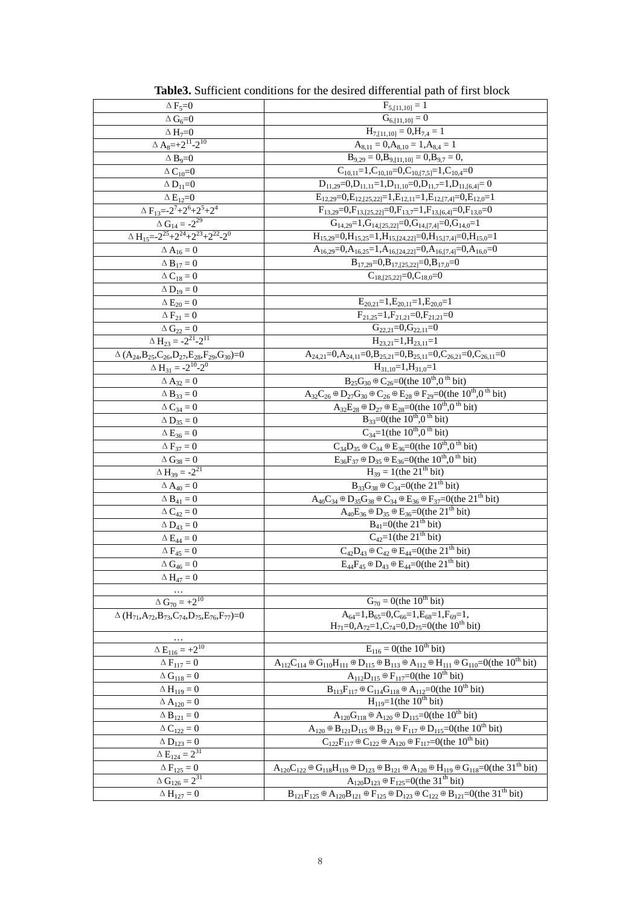| $\Delta F_5 = 0$                                              | $F_{5,[11,10]} = 1$                                                                                                                              |
|---------------------------------------------------------------|--------------------------------------------------------------------------------------------------------------------------------------------------|
| $\Delta$ G <sub>6</sub> =0                                    | $G_{6,[11,10]} = 0$                                                                                                                              |
| $\triangle H_7=0$                                             | $H_{7,[11,10]} = 0, H_{7,4} = 1$                                                                                                                 |
| $\Delta A_8 = +2^{11} - 2^{10}$                               | $A_{8,11} = 0, A_{8,10} = 1, A_{8,4} = 1$                                                                                                        |
| $\triangle$ B <sub>9</sub> =0                                 | $B_{9,29} = 0, B_{9,[11,10]} = 0, B_{9,7} = 0,$                                                                                                  |
| $\Delta$ $C_{10}$ =0                                          | $C_{10,11}=1, C_{10,10}=0, C_{10,[7,5]}=1, C_{10,4}=0$                                                                                           |
| $\Delta$ D <sub>11</sub> =0                                   | $D_{11,29}=0, D_{11,11}=1, D_{11,10}=0, D_{11,7}=1, D_{11,[6,4]}=0$                                                                              |
| $\Delta$ $E_{12}$ = 0                                         | $E_{12,29}=0, E_{12,125,22}=1, E_{12,11}=1, E_{12,17,4}=0, E_{12,0}=1$                                                                           |
| $\Delta F_{13} = -2^7 + 2^6 + 2^5 + 2^4$                      | $F_{13,29}=0, F_{13,[25,22]}=0, F_{13,7}=1, F_{13,[6,4]}=0, F_{13,0}=0$                                                                          |
| $\Delta G_{14} = -2^{29}$                                     | $G_{14,29}=1, G_{14,125,22}=0, G_{14,17,4}=0, G_{14,0}=1$                                                                                        |
| $\Delta H_{15} = -2^{25} + 2^{24} + 2^{23} + 2^{22} - 2^0$    |                                                                                                                                                  |
|                                                               | $\rm H_{15,29}\!\!=\!\!0,\!H_{15,25}\!\!=\!\!1,\!H_{15,[24,22]}\!\!=\!\!0,\!H_{15,[7,4]}\!\!=\!\!0,\!H_{15,0}\!\!=\!\!1$                         |
| $\Delta$ A <sub>16</sub> = 0                                  | $A_{16,29}=0, A_{16,25}=1, A_{16,[24,22]}=0, A_{16,[7,4]}=0, A_{16,0}=0$                                                                         |
| $\Delta$ B <sub>17</sub> = 0                                  | $B_{17,29}=0, B_{17,[25,22]}=0, B_{17,0}=0$                                                                                                      |
| $\Delta$ C <sub>18</sub> $=0$                                 | $C_{18,[25,22]} = 0, C_{18,0} = 0$                                                                                                               |
| $\Delta D_{19}=0$                                             |                                                                                                                                                  |
| $\Delta E_{20}=0$                                             | $E_{20,21}=1, E_{20,11}=1, E_{20,0}=1$                                                                                                           |
| $\Delta F_{21}=0$                                             | $F_{21,25}=1, F_{21,21}=0, F_{21,21}=0$                                                                                                          |
| $\Delta G_{22} = 0$<br>$\Delta H_{23} = -2^{21} - 2^{11}$     | $G_{22,21}=0$ , $G_{22,11}=0$                                                                                                                    |
|                                                               | $H_{23,21}=1, H_{23,11}=1$                                                                                                                       |
| $\Delta (A_{24},B_{25},C_{26},D_{27},E_{28},F_{29},G_{30})=0$ | $A_{24,21}=0, A_{24,11}=0, B_{25,21}=0, B_{25,11}=0, C_{26,21}=0, C_{26,11}=0$                                                                   |
| $\Delta H_{31} = -2 \frac{10}{2} - 2 \frac{1}{2}$             | $H_{31,10}=1, H_{31,0}=1$                                                                                                                        |
| $\Delta$ A <sub>32</sub> = 0                                  | $B_{25}G_{30} \oplus C_{26} = 0$ (the 10 <sup>th</sup> ,0 <sup>th</sup> bit)                                                                     |
| $\Delta B_{33} = 0$                                           | $A_{32}C_{26} \oplus D_{27}G_{30} \oplus C_{26} \oplus E_{28} \oplus F_{29} = 0$ (the $10^{th},0^{th}$ bit)                                      |
| $\Delta C_{34}=0$                                             | $A_{32}E_{28} \oplus D_{27} \oplus E_{28} = 0$ (the 10 <sup>th</sup> ,0 <sup>th</sup> bit)                                                       |
| $\Delta D_{35} = 0$                                           | $B_{33} = 0$ (the 10 <sup>th</sup> ,0 <sup>th</sup> bit)                                                                                         |
| $\Delta E_{36} = 0$                                           | $C_{34} = 1$ (the 10 <sup>th</sup> ,0 <sup>th</sup> bit)                                                                                         |
| $\Delta F_{37} = 0$                                           | $C_{34}D_{35} \oplus C_{34} \oplus E_{36} = 0$ (the 10 <sup>th</sup> ,0 <sup>th</sup> bit)                                                       |
| $\Delta G_{38} = 0$                                           | $E_{36}F_{37} \oplus D_{35} \oplus E_{36} = 0$ (the 10 <sup>th</sup> ,0 <sup>th</sup> bit)                                                       |
| $\Delta H_{39} = -2^{21}$                                     | $H_{39} = 1$ (the 21 <sup>th</sup> bit)                                                                                                          |
| $\Delta A_{40} = 0$                                           | $B_{33}G_{38} \oplus C_{34} = 0$ (the 21 <sup>th</sup> bit)                                                                                      |
| $\Delta$ $\mathbf{B}_{41} = 0$                                | $A_{40}C_{34} \oplus D_{35}G_{38} \oplus C_{34} \oplus E_{36} \oplus F_{37} = 0$ (the 21 <sup>th</sup> bit)                                      |
|                                                               | $A_{40}E_{36} \oplus D_{35} \oplus E_{36} = 0$ (the 21 <sup>th</sup> bit)                                                                        |
| $\Delta C_{42} = 0$                                           | $B_{41} = 0$ (the 21 <sup>th</sup> bit)                                                                                                          |
| $\Delta D_{43} = 0$                                           | $C_{42}$ =1(the 21 <sup>th</sup> bit)                                                                                                            |
| $\Delta$ $E_{44} = 0$                                         |                                                                                                                                                  |
| $\Delta F_{45} = 0$                                           | $C_{42}D_{43} \oplus C_{42} \oplus E_{44} = 0$ (the 21 <sup>th</sup> bit)                                                                        |
| $\Delta G_{46} = 0$                                           | $E_{44}F_{45} \oplus D_{43} \oplus E_{44} = 0$ (the 21 <sup>th</sup> bit)                                                                        |
| $\Delta H_{47} = 0$                                           |                                                                                                                                                  |
|                                                               |                                                                                                                                                  |
| $\Delta G_{70} = +2^{10}$                                     | $G_{70} = 0$ (the 10 <sup>th</sup> bit)                                                                                                          |
| $\Delta (H_{71},A_{72},B_{73},C_{74},D_{75},E_{76},F_{77})=0$ | $A_{64}=1, B_{65}=0, C_{66}=1, E_{68}=1, F_{69}=1,$                                                                                              |
|                                                               | $H_{71}=0, A_{72}=1, C_{74}=0, D_{75}=0$ (the 10 <sup>th</sup> bit)                                                                              |
| $\Delta E_{116} = +2^{10}$                                    | $E_{116} = 0$ (the 10 <sup>th</sup> bit)                                                                                                         |
|                                                               |                                                                                                                                                  |
| $\Delta F_{117} = 0$                                          | $A_{112}C_{114} \oplus G_{110}H_{111} \oplus D_{115} \oplus B_{113} \oplus A_{112} \oplus H_{111} \oplus G_{110} = 0$ (the 10 <sup>th</sup> bit) |
| $\Delta$ $\mathbf{G}_{118}=0$                                 | $A_{112}D_{115} \oplus F_{117} = 0$ (the 10 <sup>th</sup> bit)                                                                                   |
| $\Delta H_{119}=0$                                            | $B_{113}F_{117} \oplus C_{114}G_{118} \oplus A_{112} = 0$ (the 10 <sup>th</sup> bit)<br>$H_{119}$ =1(the 10 <sup>th</sup> bit)                   |
| $\Delta A_{120} = 0$                                          |                                                                                                                                                  |
| $\Delta B_{121} = 0$                                          | $\overline{A_{120}G}_{118}$ $\oplus$ $A_{120}$ $\oplus$ $D_{115}$ =0(the 10 <sup>th</sup> bit)                                                   |
| $\Delta C_{122}=0$                                            | $A_{120} \oplus B_{121}D_{115} \oplus B_{121} \oplus F_{117} \oplus D_{115} = 0$ (the 10 <sup>th</sup> bit)                                      |
| $\Delta D_{123} = 0$                                          | $C_{122}F_{117} \oplus C_{122} \oplus A_{120} \oplus F_{117} = 0$ (the 10 <sup>th</sup> bit)                                                     |
| $\Delta E_{124} = 2^{\overline{31}}$                          |                                                                                                                                                  |
| $\Delta F_{125} = 0$                                          | $A_{120}C_{122} \oplus G_{118}H_{119} \oplus D_{123} \oplus B_{121} \oplus A_{120} \oplus H_{119} \oplus G_{118} = 0 (the 31th bit)$             |
| $\Delta G_{126} = 2^{31}$                                     | $A_{120}D_{123} \oplus F_{125} = 0$ (the 31 <sup>th</sup> bit)                                                                                   |
| $\Delta H_{127} = 0$                                          | $B_{121}F_{125} \oplus A_{120}B_{121} \oplus F_{125} \oplus D_{123} \oplus C_{122} \oplus B_{121} = 0$ (the 31 <sup>th</sup> bit)                |

Table3. Sufficient conditions for the desired differential path of first block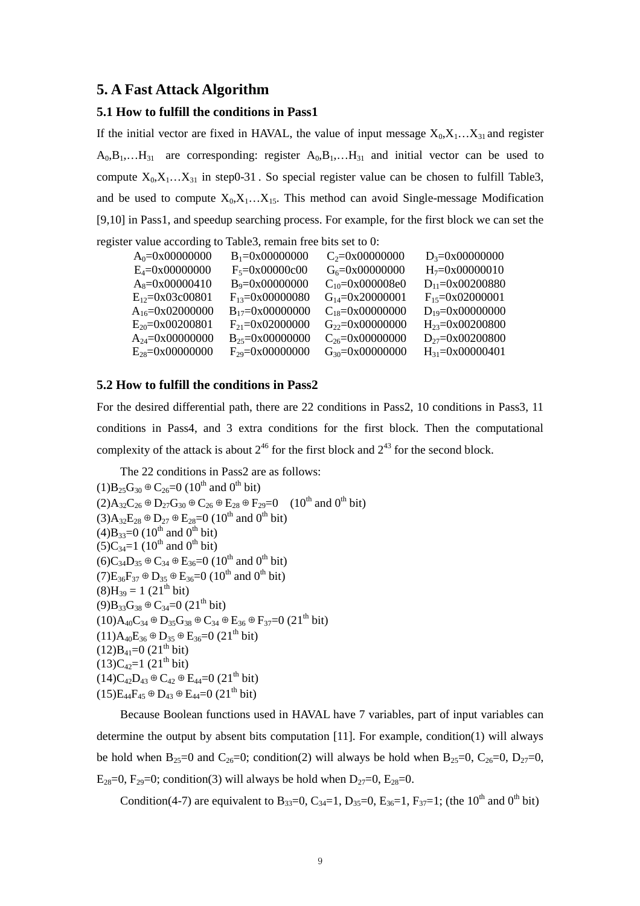## **5. A Fast Attack Algorithm**

#### **5.1 How to fulfill the conditions in Pass1**

If the initial vector are fixed in HAVAL, the value of input message  $X_0, X_1, \ldots, X_{31}$  and register  $A_0, B_1, \ldots, H_{31}$  are corresponding: register  $A_0, B_1, \ldots, H_{31}$  and initial vector can be used to compute  $X_0, X_1, \ldots, X_{31}$  in step0-31. So special register value can be chosen to fulfill Table3, and be used to compute  $X_0, X_1, \ldots, X_{15}$ . This method can avoid Single-message Modification [9,10] in Pass1, and speedup searching process. For example, for the first block we can set the

register value according to Table3, remain free bits set to 0:

| $A_0 = 0 \times 00000000$    | $B_1 = 0 \times 00000000$     | $C_2 = 0x00000000$    | $D_3 = 0 \times 000000000$    |
|------------------------------|-------------------------------|-----------------------|-------------------------------|
| $E_4 = 0 \times 00000000$    | $F_5 = 0 \times 000000000$    | $G_6 = 0x00000000$    | $H_7 = 0 \times 00000010$     |
| $A_8 = 0 \times 00000410$    | $B_9 = 0 \times 00000000$     | $C_{10} = 0x000008e0$ | $D_{11}=0x00200880$           |
| $E_{12}=0x03c00801$          | $F_{13} = 0 \times 00000080$  | $G_{14} = 0x20000001$ | $F_{15} = 0 \times 02000001$  |
| $A_{16}=0x02000000$          | $B_{17}=0x00000000$           | $C_{18}=0x00000000$   | $D_{19} = 0 \times 000000000$ |
| $E_{20} = 0 \times 00200801$ | $F_{21} = 0 \times 02000000$  | $G_{22} = 0x00000000$ | $H_{23} = 0 \times 00200800$  |
| $A_{24} = 0x00000000$        | $B_{25} = 0 \times 000000000$ | $C_{26} = 0x00000000$ | $D_{27}=0x00200800$           |
| $E_{28} = 0 \times 00000000$ | $F_{29} = 0 \times 00000000$  | $G_{30} = 0x00000000$ | $H_{31} = 0 \times 00000401$  |

#### **5.2 How to fulfill the conditions in Pass2**

For the desired differential path, there are 22 conditions in Pass2, 10 conditions in Pass3, 11 conditions in Pass4, and 3 extra conditions for the first block. Then the computational complexity of the attack is about  $2^{46}$  for the first block and  $2^{43}$  for the second block.

The 22 conditions in Pass2 are as follows:

```
(1)B_{25}G_{30} \oplus C_{26}=0 (10<sup>th</sup> and 0<sup>th</sup> bit)
(2)A_{32}C_{26} \oplus D_{27}G_{30} \oplus C_{26} \oplus E_{28} \oplus F_{29}=0 (10^{th} and 0^{th} bit)
(3)A_{32}E_{28} \oplus D_{27} \oplus E_{28}=0 (10<sup>th</sup> and 0<sup>th</sup> bit)
(4)B_{33}=0 (10^{th} and 0^{th} bit)
(5)C_{34}=1 (10<sup>th</sup> and 0<sup>th</sup> bit)
(6)C_{34}D_{35} ⊕ C_{34} ⊕ E_{36}=0 (10<sup>th</sup> and 0<sup>th</sup> bit)
(7)E_{36}F_{37} \oplus D_{35} \oplus E_{36} = 0 (10<sup>th</sup> and 0<sup>th</sup> bit)
(8)H_{39} = 1 (21<sup>th</sup> bit)(9)B_{33}G_{38} \oplus C_{34} = 0 (21<sup>th</sup> bit)
(10)A_{40}C_{34} \oplus D_{35}G_{38} \oplus C_{34} \oplus E_{36} \oplus F_{37}=0 (21<sup>th</sup> bit)(11)A_{40}E_{36} \oplus D_{35} \oplus E_{36}=0 (21^{th} bit)
(12)B_{41}=0 (21<sup>th</sup> bit)(13)C_{42}=1(21<sup>th</sup> bit)(14)C_{42}D_{43} \oplus C_{42} \oplus E_{44} = 0 (21<sup>th</sup> bit)(15)E_{44}F_{45} \oplus D_{43} \oplus E_{44} = 0 (21<sup>th</sup> bit)
```
Because Boolean functions used in HAVAL have 7 variables, part of input variables can determine the output by absent bits computation  $[11]$ . For example, condition $(1)$  will always be hold when B<sub>25</sub>=0 and C<sub>26</sub>=0; condition(2) will always be hold when B<sub>25</sub>=0, C<sub>26</sub>=0, D<sub>27</sub>=0, E<sub>28</sub>=0, F<sub>29</sub>=0; condition(3) will always be hold when  $D_{27}=0$ , E<sub>28</sub>=0.

Condition(4-7) are equivalent to B<sub>33</sub>=0, C<sub>34</sub>=1, D<sub>35</sub>=0, E<sub>36</sub>=1, F<sub>37</sub>=1; (the 10<sup>th</sup> and 0<sup>th</sup> bit)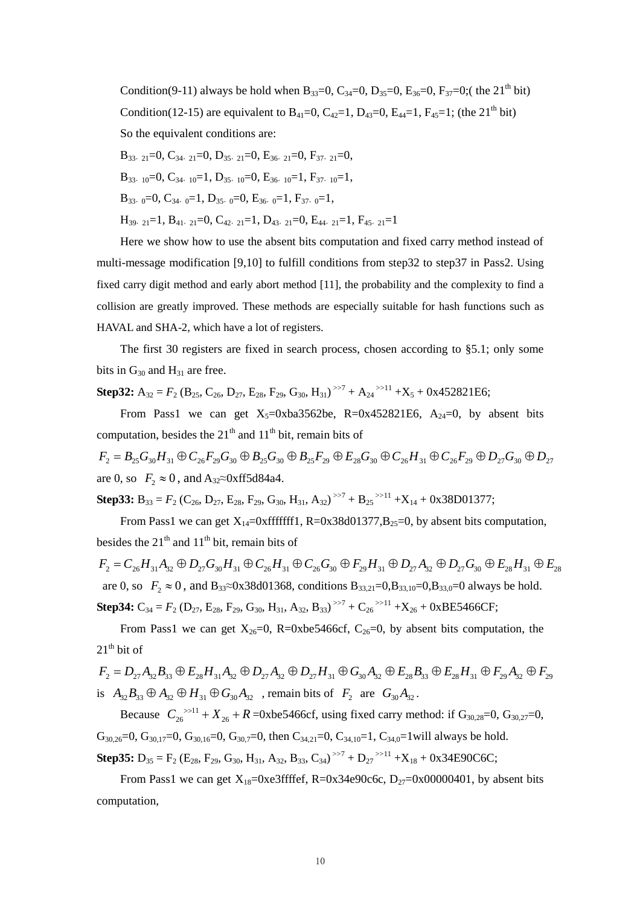Condition(9-11) always be hold when  $B_{33}=0$ ,  $C_{34}=0$ ,  $D_{35}=0$ ,  $E_{36}=0$ ,  $F_{37}=0$ ;( the 21<sup>th</sup> bit) Condition(12-15) are equivalent to  $B_{41}=0$ ,  $C_{42}=1$ ,  $D_{43}=0$ ,  $E_{44}=1$ ,  $F_{45}=1$ ; (the 21<sup>th</sup> bit) So the equivalent conditions are:

\n
$$
B_{33}, \, 21 = 0, \, C_{34}, \, 21 = 0, \, D_{35}, \, 21 = 0, \, E_{36}, \, 21 = 0, \, F_{37}, \, 21 = 0,
$$
\n

\n\n $B_{33}, \, 10 = 0, \, C_{34}, \, 10 = 1, \, D_{35}, \, 10 = 0, \, E_{36}, \, 10 = 1, \, F_{37}, \, 10 = 1,$ \n

\n\n $B_{33}, \, 0 = 0, \, C_{34}, \, 0 = 1, \, D_{35}, \, 0 = 0, \, E_{36}, \, 0 = 1, \, F_{37}, \, 0 = 1,$ \n

\n\n $H_{39}, \, 21 = 1, \, B_{41}, \, 21 = 0, \, C_{42}, \, 21 = 1, \, D_{43}, \, 21 = 0, \, E_{44}, \, 21 = 1, \, F_{45}, \, 21 = 1$ \n

Here we show how to use the absent bits computation and fixed carry method instead of multi-message modification [9,10] to fulfill conditions from step32 to step37 in Pass2. Using fixed carry digit method and early abort method [11], the probability and the complexity to find a collision are greatly improved. These methods are especially suitable for hash functions such as HAVAL and SHA-2, which have a lot of registers.

The first 30 registers are fixed in search process, chosen according to §5.1; only some bits in  $G_{30}$  and  $H_{31}$  are free.

**Step32:**  $A_{32} = F_2$  ( $B_{25}$ ,  $C_{26}$ ,  $D_{27}$ ,  $E_{28}$ ,  $F_{29}$ ,  $G_{30}$ ,  $H_{31}$ )<sup> $>7$ </sup> +  $A_{24}$ <sup> $>11$ </sup> + $X_5$  + 0x452821E6;

From Pass1 we can get  $X_5=0xba3562be$ , R=0x452821E6, A<sub>24</sub>=0, by absent bits computation, besides the  $21<sup>th</sup>$  and  $11<sup>th</sup>$  bit, remain bits of

 $F_2 = B_{25} G_{30} H_{31} \oplus C_{26} F_{29} G_{30} \oplus B_{25} G_{30} \oplus B_{25} F_{29} \oplus E_{28} G_{30} \oplus C_{26} H_{31} \oplus C_{26} F_{29} \oplus D_{27} G_{30} \oplus D_{27}$ are 0, so  $F_2 \approx 0$ , and A<sub>32</sub>≈0xff5d84a4.

**Step33:**  $B_{33} = F_2$  ( $C_{26}$ ,  $D_{27}$ ,  $E_{28}$ ,  $F_{29}$ ,  $G_{30}$ ,  $H_{31}$ ,  $A_{32}$ )<sup> $>7$ </sup> +  $B_{25}$ <sup> $>11$ </sup> + $X_{14}$  + 0x38D01377;

From Pass1 we can get  $X_{14}=0x$  fffffff 1, R=0x38d01377,B<sub>25</sub>=0, by absent bits computation, besides the  $21<sup>th</sup>$  and  $11<sup>th</sup>$  bit, remain bits of

 $F_2 = C_{26} H_{31} A_{32} \oplus D_{27} G_{30} H_{31} \oplus C_{26} H_{31} \oplus C_{26} G_{30} \oplus F_{20} H_{31} \oplus D_{27} A_{32} \oplus D_{27} G_{30} \oplus E_{28} H_{31} \oplus E_{28}$ are 0, so  $F_2 \approx 0$ , and B<sub>33</sub>≈0x38d01368, conditions B<sub>33,21</sub>=0,B<sub>33,10</sub>=0,B<sub>33,0</sub>=0 always be hold. **Step34:**  $C_{34} = F_2$  ( $D_{27}$ ,  $E_{28}$ ,  $F_{29}$ ,  $G_{30}$ ,  $H_{31}$ ,  $A_{32}$ ,  $B_{33}$ )<sup>>>7</sup> +  $C_{26}$ <sup>>>11</sup> + $X_{26}$  + 0xBE5466CF;

From Pass1 we can get  $X_{26}=0$ , R=0xbe5466cf, C<sub>26</sub>=0, by absent bits computation, the  $21<sup>th</sup>$  bit of

$$
F_2 = D_{27}A_{32}B_{33} \oplus E_{28}H_{31}A_{32} \oplus D_{27}A_{32} \oplus D_{27}H_{31} \oplus G_{30}A_{32} \oplus E_{28}B_{33} \oplus E_{28}H_{31} \oplus F_{29}A_{32} \oplus F_{29}
$$
  
is  $A_{32}B_{33} \oplus A_{32} \oplus H_{31} \oplus G_{30}A_{32}$ , remain bits of  $F_2$  are  $G_{30}A_{32}$ .

Because  $C_{26}^{3 \times 11} + X_{26} + R = 0xb\epsilon 5466cf$ , using fixed carry method: if  $G_{30,28} = 0$ ,  $G_{30,27} = 0$ ,  $G_{30,26}=0$ ,  $G_{30,17}=0$ ,  $G_{30,16}=0$ ,  $G_{30,7}=0$ , then  $C_{34,21}=0$ ,  $C_{34,10}=1$ ,  $C_{34,0}=1$  will always be hold. **Step35:**  $D_{35} = F_2$  ( $E_{28}$ ,  $F_{29}$ ,  $G_{30}$ ,  $H_{31}$ ,  $A_{32}$ ,  $B_{33}$ ,  $C_{34}$ )<sup> $\gg7$ </sup> +  $D_{27}$  $\gg11$  + $X_{18}$  + 0x34E90C6C;

From Pass1 we can get  $X_{18}=0xe3$  ffffef, R=0x34e90c6c, D<sub>27</sub>=0x00000401, by absent bits computation,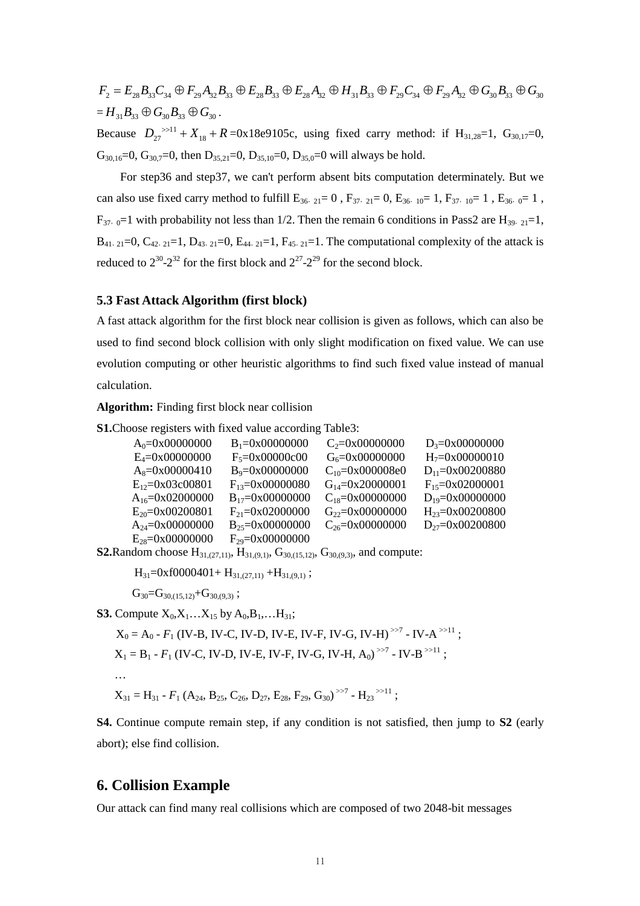$F_2 = E_{28} B_{33} C_{34} \oplus F_{29} A_{32} B_{33} \oplus E_{28} B_{33} \oplus E_{28} A_{32} \oplus H_{31} B_{33} \oplus F_{29} C_{34} \oplus F_{29} A_{32} \oplus G_{30} B_{33} \oplus G_{30}$  $= H_{31} B_{33} \oplus G_{30} B_{33} \oplus G_{30}$ .

Because  $D_{27}$ <sup>>>11</sup> +  $X_{18}$  + R =0x18e9105c, using fixed carry method: if H<sub>31,28</sub>=1, G<sub>30,17</sub>=0,  $G_{30,16}=0$ ,  $G_{30,7}=0$ , then  $D_{35,21}=0$ ,  $D_{35,10}=0$ ,  $D_{35,0}=0$  will always be hold.

For step36 and step37, we can't perform absent bits computation determinately. But we can also use fixed carry method to fulfill  $E_{36,21}= 0$ ,  $F_{37,21}= 0$ ,  $E_{36,10}= 1$ ,  $F_{37,10}= 1$ ,  $E_{36,0}= 1$ ,  $F_{37,0}=1$  with probability not less than 1/2. Then the remain 6 conditions in Pass2 are H<sub>39</sub>,  $_{21}=1$ ,  $B_{41,21}=0$ ,  $C_{42,21}=1$ ,  $D_{43,21}=0$ ,  $E_{44,21}=1$ ,  $F_{45,21}=1$ . The computational complexity of the attack is reduced to  $2^{30}$ - $2^{32}$  for the first block and  $2^{27}$ - $2^{29}$  for the second block.

## **5.3 Fast Attack Algorithm (first block)**

A fast attack algorithm for the first block near collision is given as follows, which can also be used to find second block collision with only slight modification on fixed value. We can use evolution computing or other heuristic algorithms to find such fixed value instead of manual calculation.

**Algorithm:** Finding first block near collision

**S1.**Choose registers with fixed value according Table3:

| $A_0 = 0 \times 00000000$    | $B_1 = 0x00000000$           | $C_2 = 0x00000000$        | $D_3 = 0x00000000$           |
|------------------------------|------------------------------|---------------------------|------------------------------|
| $E_4 = 0 \times 00000000$    | $F_5 = 0x00000c00$           | $G_6 = 0 \times 00000000$ | $H_7 = 0 \times 00000010$    |
| $A_8 = 0 \times 00000410$    | $B_9 = 0 \times 00000000$    | $C_{10} = 0x000008e0$     | $D_{11}=0x00200880$          |
| $E_{12}=0x03c00801$          | $F_{13} = 0 \times 00000080$ | $G_{14} = 0x20000001$     | $F_{15} = 0 \times 02000001$ |
| $A_{16} = 0 \times 02000000$ | $B_{17}=0x00000000$          | $C_{18} = 0x00000000$     | $D_{19} = 0x00000000$        |
| $E_{20} = 0 \times 00200801$ | $F_{21} = 0 \times 02000000$ | $G_{22} = 0x00000000$     | $H_{23} = 0 \times 00200800$ |
| $A_{24} = 0 \times 00000000$ | $B_{25} = 0x00000000$        | $C_{26} = 0x00000000$     | $D_{27} = 0 \times 00200800$ |
| $E_{28} = 0 \times 00000000$ | $F_{29} = 0 \times 00000000$ |                           |                              |
|                              |                              |                           |                              |

**S2.**Random choose  $H_{31,(27,11)}$ ,  $H_{31,(9,1)}$ ,  $G_{30,(15,12)}$ ,  $G_{30,(9,3)}$ , and compute:

 $H_{31}=0xf0000401+H_{31,(27,11)}+H_{31,(9,1)};$ 

 $G_{30} = G_{30,(15,12)} + G_{30,(9,3)}$ ;

**S3.** Compute  $X_0, X_1, \ldots, X_{15}$  by  $A_0, B_1, \ldots, H_{31}$ ;

$$
X_0 = A_0 - F_1 (IV-B, IV-C, IV-D, IV-E, IV-F, IV-G, IV-H)^{>>7} - IV-A^{>>11};
$$
  
\n
$$
X_1 = B_1 - F_1 (IV-C, IV-D, IV-E, IV-F, IV-G, IV-H, A_0)^{>>7} - IV-B^{>>11};
$$
  
\n...  
\n
$$
X_{31} = H_{31} - F_1 (A_{24}, B_{25}, C_{26}, D_{27}, E_{28}, F_{29}, G_{30})^{>>7} - H_{23}^{>>11};
$$

**S4.** Continue compute remain step, if any condition is not satisfied, then jump to **S2** (early abort); else find collision.

## **6. Collision Example**

Our attack can find many real collisions which are composed of two 2048-bit messages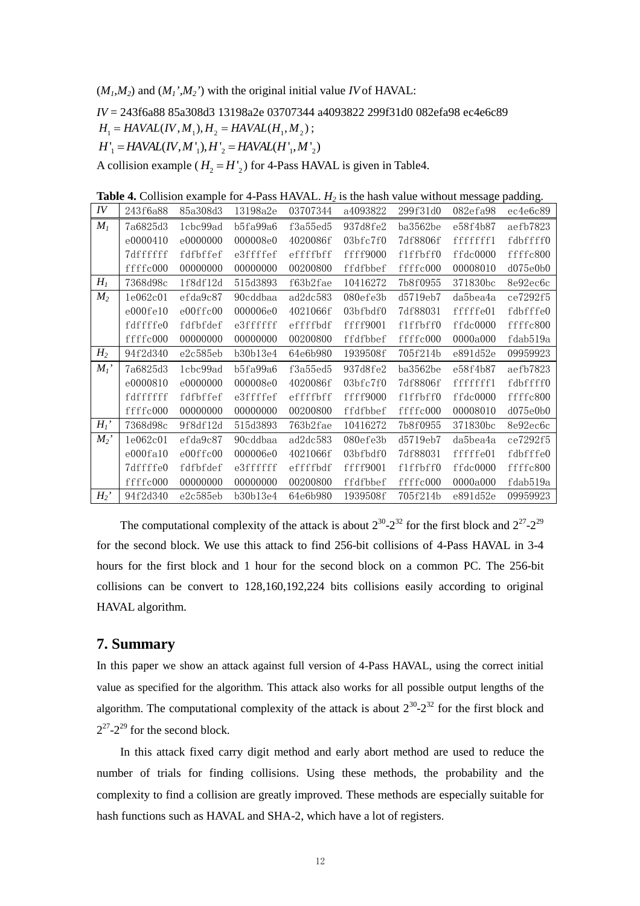$(M<sub>1</sub>,M<sub>2</sub>)$  and  $(M<sub>1</sub><sup>'</sup>,M<sub>2</sub><sup>'</sup>)$  with the original initial value *IV* of HAVAL:

*IV* = 243f6a88 85a308d3 13198a2e 03707344 a4093822 299f31d0 082efa98 ec4e6c89

 $H_1 = HAVAL (IV, M_1), H_2 = HAVAL (H_1, M_2);$ 

 $H'_{\perp} = HAVAL (IV, M'_{\perp}), H'_{\perp} = HAVAL (H'_{\perp}, M'_{\perp})$ 

A collision example ( $H_2 = H'$ <sub>2</sub>) for 4-Pass HAVAL is given in Table4.

| IV             | 243f6a88 | 85a308d3 | 13198a2e | 03707344 | a4093822              | 299f31d0 | 082efa98 | ec4e6c89 |
|----------------|----------|----------|----------|----------|-----------------------|----------|----------|----------|
| $M_I$          | 7a6825d3 | 1cbc99ad | b5fa99a6 | f3a55ed5 | 937d8fe2              | ba3562be | e58f4b87 | aefb7823 |
|                | e0000410 | e0000000 | 000008e0 | 4020086f | 03 <sub>b</sub> fc7f0 | 7df8806f | fffffffl | fdbffff0 |
|                | 7dffffff | fdfbffef | e3ffffef | effffbff | ffff9000              | f1ffbff0 | ffdc0000 | ffffc800 |
|                | ffffc000 | 00000000 | 00000000 | 00200800 | ffdfbbef              | ffffc000 | 00008010 | d075e0b0 |
| $H_I$          | 7368d98c | 1f8df12d | 515d3893 | f63b2fae | 10416272              | 7b8f0955 | 371830bc | 8e92ec6c |
| $M_2$          | 1e062c01 | efda9c87 | 90cddbaa | ad2dc583 | 080efe3b              | d5719eb7 | da5bea4a | ce7292f5 |
|                | e000fe10 | e00ffc00 | 000006e0 | 4021066f | 03bfbdf0              | 7df88031 | fffffe01 | fdbfffe0 |
|                | fdffffe0 | fdfbfdef | e3ffffff | effffbdf | ffff9001              | f1ffbff0 | ffdc0000 | ffffc800 |
|                | ffffc000 | 00000000 | 00000000 | 00200800 | ffdfbbef              | ffffc000 | 0000a000 | fdab519a |
| H <sub>2</sub> | 94f2d340 | e2c585eb | b30b13e4 | 64e6b980 | 1939508f              | 705f214b | e891d52e | 09959923 |
| $M_I'$         | 7a6825d3 | 1cbc99ad | b5fa99a6 | f3a55ed5 | 937d8fe2              | ba3562be | e58f4b87 | aefb7823 |
|                | e0000810 | e0000000 | 000008e0 | 4020086f | 03 <sub>b</sub> fc7f0 | 7df8806f | fffffff1 | fdbffff0 |
|                | fdffffff | fdfbffef | e3ffffef | effffbff | ffff9000              | f1ffbff0 | ffdc0000 | ffffc800 |
|                | ffffc000 | 00000000 | 00000000 | 00200800 | ffdfbbef              | ffffc000 | 00008010 | d075e0b0 |
| $H_I'$         | 7368d98c | 9f8df12d | 515d3893 | 763b2fae | 10416272              | 7b8f0955 | 371830bc | 8e92ec6c |
| $M_2$ '        | 1e062c01 | efda9c87 | 90cddbaa | ad2dc583 | 080efe3b              | d5719eb7 | da5bea4a | ce7292f5 |
|                | e000fa10 | e00ffc00 | 000006e0 | 4021066f | 03bfbdf0              | 7df88031 | fffffe01 | fdbfffe0 |
|                | 7dffffe0 | fdfbfdef | e3ffffff | effffbdf | ffff9001              | f1ffbff0 | ffdc0000 | ffffc800 |
|                | ffffc000 | 00000000 | 00000000 | 00200800 | ffdfbbef              | ffffc000 | 0000a000 | fdab519a |
| $H_2'$         | 94f2d340 | e2c585eb | b30b13e4 | 64e6b980 | 1939508f              | 705f214b | e891d52e | 09959923 |

**Table 4.** Collision example for 4-Pass HAVAL. *H*<sub>2</sub> is the hash value without message padding.

The computational complexity of the attack is about  $2^{30}$ - $2^{32}$  for the first block and  $2^{27}$ - $2^{29}$ for the second block. We use this attack to find 256-bit collisions of 4-Pass HAVAL in 3-4 hours for the first block and 1 hour for the second block on a common PC. The 256-bit collisions can be convert to 128,160,192,224 bits collisions easily according to original HAVAL algorithm.

## **7. Summary**

In this paper we show an attack against full version of 4-Pass HAVAL, using the correct initial value as specified for the algorithm. This attack also works for all possible output lengths of the algorithm. The computational complexity of the attack is about  $2^{30}$ - $2^{32}$  for the first block and  $2^{27}$ - $2^{29}$  for the second block.

In this attack fixed carry digit method and early abort method are used to reduce the number of trials for finding collisions. Using these methods, the probability and the complexity to find a collision are greatly improved. These methods are especially suitable for hash functions such as HAVAL and SHA-2, which have a lot of registers.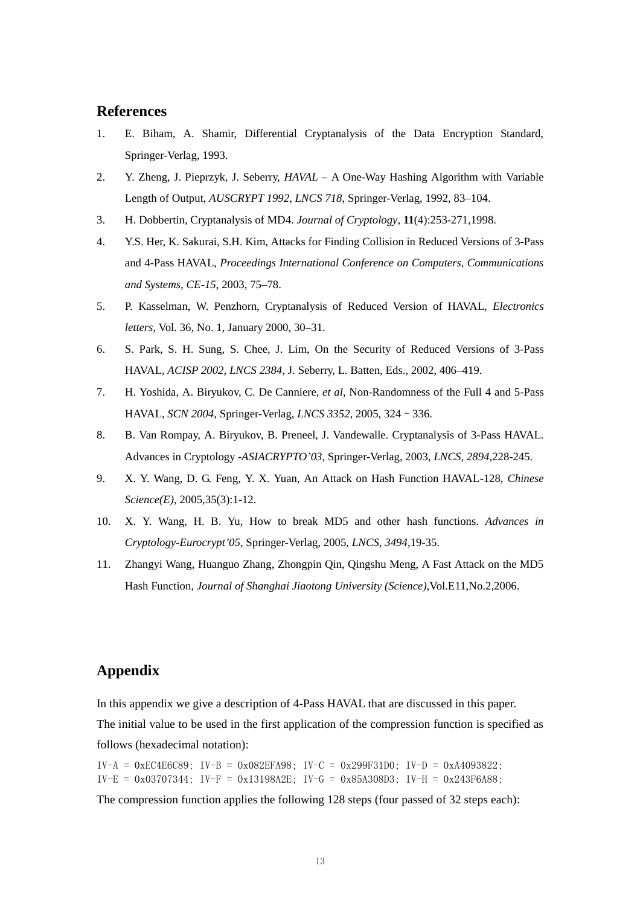## **References**

- 1. E. Biham, A. Shamir, Differential Cryptanalysis of the Data Encryption Standard, Springer-Verlag, 1993.
- 2. Y. Zheng, J. Pieprzyk, J. Seberry, *HAVAL –*A One-Way Hashing Algorithm with Variable Length of Output, *AUSCRYPT 1992, LNCS 718*, Springer-Verlag, 1992, 83–104.
- 3. H. Dobbertin, Cryptanalysis of MD4. *Journal of Cryptology*, **11**(4):253-271,1998.
- 4. Y.S. Her, K. Sakurai, S.H. Kim, Attacks for Finding Collision in Reduced Versions of 3-Pass and 4-Pass HAVAL, *Proceedings International Conference on Computers, Communications and Systems, CE-15*, 2003, 75–78.
- 5. P. Kasselman, W. Penzhorn, Cryptanalysis of Reduced Version of HAVAL, *Electronics letters*, Vol. 36, No. 1, January 2000, 30–31.
- 6. S. Park, S. H. Sung, S. Chee, J. Lim, On the Security of Reduced Versions of 3-Pass HAVAL, *ACISP 2002, LNCS 2384*, J. Seberry, L. Batten, Eds., 2002, 406–419.
- 7. H. Yoshida, A. Biryukov, C. De Canniere, *et al*, Non-Randomness of the Full 4 and 5-Pass HAVAL, *SCN 2004*, Springer-Verlag, *LNCS 3352*, 2005, 324–336.
- 8. B. Van Rompay, A. Biryukov, B. Preneel, J. Vandewalle. Cryptanalysis of 3-Pass HAVAL. Advances in Cryptology -*ASIACRYPTO'03*, Springer-Verlag, 2003, *LNCS, 2894*,228-245.
- 9. X. Y. Wang, D. G. Feng, Y. X. Yuan, An Attack on Hash Function HAVAL-128, *Chinese Science(E)*, 2005,35(3):1-12.
- 10. X. Y. Wang, H. B. Yu, How to break MD5 and other hash functions. *Advances in Cryptology-Eurocrypt'05*, Springer-Verlag, 2005, *LNCS, 3494*,19-35.
- 11. Zhangyi Wang, Huanguo Zhang, Zhongpin Qin, Qingshu Meng, A Fast Attack on the MD5 Hash Function, *Journal of Shanghai Jiaotong University (Science)*,Vol.E11,No.2,2006.

## **Appendix**

In this appendix we give a description of 4-Pass HAVAL that are discussed in this paper. The initial value to be used in the first application of the compression function is specified as follows (hexadecimal notation):

 $IV-A = 0 \times EC4E6C89$ ;  $IV-B = 0 \times 082EFA98$ ;  $IV-C = 0 \times 299F31D0$ ;  $IV-D = 0 \times A4093822$ ;  $IV-E = 0x03707344$ ;  $IV-F = 0x13198A2E$ ;  $IV-G = 0x85A308D3$ ;  $IV-H = 0x243F6A88$ ;

The compression function applies the following 128 steps (four passed of 32 steps each):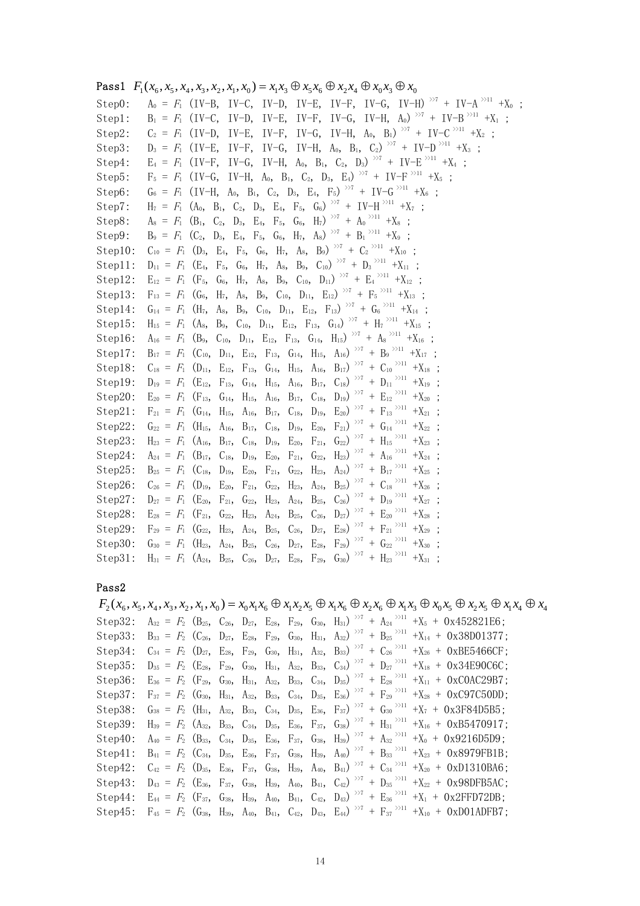| <b>Pass1</b> $F_1(x_6, x_5, x_4, x_3, x_2, x_1, x_0) = x_1x_3 \oplus x_5x_6 \oplus x_2x_4 \oplus x_0x_3 \oplus x_0$                                                                                                                       |
|-------------------------------------------------------------------------------------------------------------------------------------------------------------------------------------------------------------------------------------------|
| $A_0 = F_1$ (IV-B, IV-C, IV-D, IV-E, IV-F, IV-G, IV-H) <sup><math>&gt; 7</math></sup> + IV-A <sup><math>&gt; 211</math></sup> +X <sub>0</sub> ;<br>Step0:                                                                                 |
| $B_1 = F_1$ (IV-C, IV-D, IV-E, IV-F, IV-G, IV-H, A <sub>0</sub> ) <sup><math>&gt; 77</math></sup> + IV-B <sup><math>&gt; 211</math></sup> +X <sub>1</sub> ;<br>Step1:                                                                     |
| IV-F, IV-G, IV-H, $A_0$ , $B_1$ ) $>Y$ + IV-C $>Y$ + $X_2$ ;<br>$C_2 = F_1$ (IV-D, IV-E,<br>Step2:                                                                                                                                        |
| IV-F, IV-G, IV-H, A <sub>0</sub> , B <sub>1</sub> , C <sub>2</sub> ) <sup><math>&gt;27</math></sup> + IV-D <sup><math>&gt;211</math></sup> +X <sub>3</sub> ;<br>Step3:<br>$D_3 = F_1$ (IV-E,                                              |
| IV-G, IV-H, A <sub>0</sub> , B <sub>1</sub> , C <sub>2</sub> , D <sub>3</sub> ) <sup>&gt;&gt;7</sup> + IV-E <sup>&gt;&gt;11</sup> +X <sub>4</sub> ;<br>$E_4 = F_1$ (IV-F,<br>Step4:                                                       |
| $F_5 = F_1$ (IV-G, IV-H, A <sub>0</sub> , B <sub>1</sub> , C <sub>2</sub> , D <sub>3</sub> , E <sub>4</sub> ) <sup>&gt;&gt;7</sup> + IV-F <sup>3&gt;11</sup> +X <sub>5</sub> ;<br>Step5:                                                  |
| $G_6 = F_1$ (IV-H, A <sub>0</sub> , B <sub>1</sub> , C <sub>2</sub> , D <sub>3</sub> , E <sub>4</sub> , F <sub>5</sub> ) <sup>&gt;&gt;7</sup> + IV-G <sup>&gt;&gt;11</sup> +X <sub>6</sub> ;<br>Step6:                                    |
| $H_7 = F_1$ (A <sub>0</sub> , B <sub>1</sub> , C <sub>2</sub> , D <sub>3</sub> , E <sub>4</sub> , F <sub>5</sub> , G <sub>6</sub> ) <sup>&gt;&gt;7</sup> + IV-H <sup>&gt;&gt;11</sup> +X <sub>7</sub> ;<br>Step7:                         |
| $A_8 = F_1$ (B <sub>1</sub> , C <sub>2</sub> , D <sub>3</sub> , E <sub>4</sub> , F <sub>5</sub> , G <sub>6</sub> , H <sub>7</sub> ) <sup>&gt;&gt;7</sup> + A <sub>0</sub> <sup>&gt;&gt;11</sup> +X <sub>8</sub> ;<br>Step8:               |
| $B_9 = F_1$ (C <sub>2</sub> , D <sub>3</sub> , E <sub>4</sub> , F <sub>5</sub> , G <sub>6</sub> , H <sub>7</sub> , A <sub>8</sub> ) <sup>&gt;&gt;7</sup> + B <sub>1</sub> <sup>&gt;&gt;11</sup> +X <sub>9</sub> ;<br>Step9:               |
| $C_{10} = F_1$ (D <sub>3</sub> , E <sub>4</sub> , F <sub>5</sub> , G <sub>6</sub> , H <sub>7</sub> , A <sub>8</sub> , B <sub>9</sub> ) <sup>&gt;&gt;7</sup> + C <sub>2</sub> <sup>&gt;&gt;11</sup> +X <sub>10</sub> ;<br>Step 10:         |
| $D_{11} = F_1$ (E <sub>4</sub> , F <sub>5</sub> , G <sub>6</sub> , H <sub>7</sub> , A <sub>8</sub> , B <sub>9</sub> , C <sub>10</sub> ) <sup>&gt;&gt;7</sup> + D <sub>3</sub> <sup>&gt;&gt;11</sup> +X <sub>11</sub> ;<br>Step11:         |
| A <sub>8</sub> , B <sub>9</sub> , C <sub>10</sub> , D <sub>11</sub> ) <sup>&gt;&gt;7</sup> + E <sub>4</sub> <sup>&gt;&gt;11</sup> +X <sub>12</sub> ;<br>$E_{12} = F_1$ (F <sub>5</sub> , G <sub>6</sub> , H <sub>7</sub> ,<br>Step12:     |
| $F_{13} = F_1$ (G <sub>6</sub> , H <sub>7</sub> , A <sub>8</sub> , B <sub>9</sub> , C <sub>10</sub> , D <sub>11</sub> , E <sub>12</sub> ) <sup>&gt;&gt;7</sup> + F <sub>5</sub> <sup>&gt;&gt;11</sup> +X <sub>13</sub> ;<br>Step 13:      |
| $G_{14} = F_1$ (H <sub>7</sub> , A <sub>8</sub> , B <sub>9</sub> , C <sub>10</sub> , D <sub>11</sub> , E <sub>12</sub> , F <sub>13</sub> ) <sup>&gt;&gt;7</sup> + G <sub>6</sub> <sup>&gt;&gt;11</sup> + X <sub>14</sub> ;<br>Step14:     |
| $H_{15} = F_1$ (A <sub>8</sub> , B <sub>9</sub> , C <sub>10</sub> , D <sub>11</sub> , E <sub>12</sub> , F <sub>13</sub> , G <sub>14</sub> ) >>7 + H <sub>7</sub> >>11 +X <sub>15</sub> ;<br>Step15:                                       |
| $A_{16} = F_1$ (B <sub>9</sub> , C <sub>10</sub> , D <sub>11</sub> , E <sub>12</sub> , F <sub>13</sub> , G <sub>14</sub> , H <sub>15</sub> ) <sup>&gt;&gt;7</sup> + A <sub>8</sub> <sup>&gt;&gt;11</sup> + X <sub>16</sub> ;<br>Step 16:  |
| $B_{17} = F_1$ (C <sub>10</sub> , D <sub>11</sub> , E <sub>12</sub> , F <sub>13</sub> , G <sub>14</sub> , H <sub>15</sub> , A <sub>16</sub> ) >>7 + B <sub>9</sub> >>11 +X <sub>17</sub> ;<br>Step 17:                                    |
| $C_{18} = F_1$ (D <sub>11</sub> , E <sub>12</sub> , F <sub>13</sub> , G <sub>14</sub> , H <sub>15</sub> , A <sub>16</sub> , B <sub>17</sub> ) <sup>&gt;&gt;7</sup> + C <sub>10</sub> <sup>&gt;&gt;11</sup> +X <sub>18</sub> ;<br>Step 18: |
| $D_{19} = F_1$ (E <sub>12</sub> , F <sub>13</sub> , G <sub>14</sub> , H <sub>15</sub> , A <sub>16</sub> , B <sub>17</sub> , C <sub>18</sub> ) <sup>&gt;&gt;7</sup> + D <sub>11</sub> <sup>&gt;&gt;11</sup> +X <sub>19</sub> ;<br>Step19:  |
| $E_{20} = F_1$ (F <sub>13</sub> , G <sub>14</sub> , H <sub>15</sub> , A <sub>16</sub> , B <sub>17</sub> , C <sub>18</sub> , D <sub>19</sub> ) <sup>&gt;&gt;7</sup> + E <sub>12</sub> <sup>&gt;&gt;11</sup> +X <sub>20</sub> ;<br>Step20:  |
| $F_{21} = F_1$ (G <sub>14</sub> , H <sub>15</sub> , A <sub>16</sub> , B <sub>17</sub> , C <sub>18</sub> , D <sub>19</sub> , E <sub>20</sub> ) <sup>&gt;&gt;7</sup> + F <sub>13</sub> <sup>&gt;&gt;11</sup> +X <sub>21</sub> ;<br>Step21:  |
| $F_{21}$ ) $^{357}$ + $G_{14}$ $^{5511}$ +X <sub>22</sub> ;<br>Step22:<br>A <sub>16</sub> , B <sub>17</sub> , C <sub>18</sub> , D <sub>19</sub> , E <sub>20</sub> ,<br>$G_{22} = F_1$ (H <sub>15</sub> ,                                  |
| $H_{23} = F_1$ (A <sub>16</sub> , B <sub>17</sub> , C <sub>18</sub> , D <sub>19</sub> , E <sub>20</sub> , F <sub>21</sub> , G <sub>22</sub> ) <sup>&gt;&gt;7</sup> + H <sub>15</sub> <sup>&gt;&gt;11</sup> +X <sub>23</sub> ;<br>Step23:  |
| $A_{24} = F_1$ (B <sub>17</sub> , C <sub>18</sub> , D <sub>19</sub> , E <sub>20</sub> , F <sub>21</sub> , G <sub>22</sub> , H <sub>23</sub> ) <sup>&gt;&gt;7</sup> + A <sub>16</sub> <sup>&gt;&gt;11</sup> +X <sub>24</sub> ;<br>Step24:  |
| $B_{25} = F_1$ (C <sub>18</sub> , D <sub>19</sub> , E <sub>20</sub> , F <sub>21</sub> , G <sub>22</sub> , H <sub>23</sub> , A <sub>24</sub> ) >>7 + B <sub>17</sub> >>11 +X <sub>25</sub> ;<br>Step 25:                                   |
| $B_{25}$ ) $^{>77}$ + $C_{18}$ $^{>11}$ + $X_{26}$ ;<br>Step26:<br>$C_{26} = F_1$ (D <sub>19</sub> , E <sub>20</sub> , F <sub>21</sub> , G <sub>22</sub> , H <sub>23</sub> , A <sub>24</sub> ,                                            |
| $G_{22}$ , H <sub>23</sub> , A <sub>24</sub> , B <sub>25</sub> , C <sub>26</sub> ) >>7 + D <sub>19</sub> >>11 +X <sub>27</sub> ;<br>Step27:<br>$D_{27} = F_1$ (E <sub>20</sub> ,<br>$F_{21}$                                              |
| $D_{27})$ $>7$ + $E_{20}$ $>11$ + $X_{28}$ ;<br>$G_{22}$ , H <sub>23</sub> , A <sub>24</sub> , B <sub>25</sub> , C <sub>26</sub> ,<br>Step28:<br>$E_{28} = F_1$ (F <sub>21</sub> ,                                                        |
| $F_{29} = F_1$ (G <sub>22</sub> , H <sub>23</sub> , A <sub>24</sub> , B <sub>25</sub> , C <sub>26</sub> , D <sub>27</sub> , E <sub>28</sub> ) <sup>&gt;&gt;7</sup> + F <sub>21</sub> <sup>&gt;&gt;11</sup> +X <sub>29</sub> ;<br>Step29:  |
| $(F_{29}) \rightarrow 7 + G_{22} \rightarrow 11 + X_{30}$ ;<br>$G_{30} = F_1$ (H <sub>23</sub> , A <sub>24</sub> , B <sub>25</sub> , C <sub>26</sub> , D <sub>27</sub> , E <sub>28</sub> ,<br>Step30:                                     |
| $H_{31} = F_1$ (A <sub>24</sub> , B <sub>25</sub> , C <sub>26</sub> , D <sub>27</sub> , E <sub>28</sub> , F <sub>29</sub> , G <sub>30</sub> ) <sup>&gt;&gt;7</sup> + H <sub>23</sub> <sup>&gt;&gt;11</sup> +X <sub>31</sub> ;<br>Step 31: |

#### Pass2

 $F_2(x_6, x_5, x_4, x_3, x_2, x_1, x_0) = x_0 x_1 x_6 \oplus x_1 x_2 x_5 \oplus x_1 x_6 \oplus x_2 x_6 \oplus x_1 x_3 \oplus x_0 x_5 \oplus x_2 x_5 \oplus x_1 x_4 \oplus x_4$ Step32:  $A_{32} = F_2$  (B<sub>25</sub>, C<sub>26</sub>, D<sub>27</sub>, E<sub>28</sub>, F<sub>29</sub>, G<sub>30</sub>, H<sub>31</sub>)<sup>>>7</sup> + A<sub>24</sub><sup>>>11</sup> +X<sub>5</sub> + 0x452821E6; Step33:  $B_{33} = F_2$  (C<sub>26</sub>, D<sub>27</sub>, E<sub>28</sub>, F<sub>29</sub>, G<sub>30</sub>, H<sub>31</sub>, A<sub>32</sub>)<sup>>>7</sup> + B<sub>25</sub><sup>>>11</sup> +X<sub>14</sub> + 0x38D01377; Step34:  $C_{34} = F_2$  (D<sub>27</sub>, E<sub>28</sub>, F<sub>29</sub>, G<sub>30</sub>, H<sub>31</sub>, A<sub>32</sub>, B<sub>33</sub>)<sup>>>7</sup> + C<sub>26</sub><sup>>>11</sup> +X<sub>26</sub> + OxBE5466CF; Step35:  $D_{35} = F_2$  (E<sub>28</sub>, F<sub>29</sub>, G<sub>30</sub>, H<sub>31</sub>, A<sub>32</sub>, B<sub>33</sub>, C<sub>34</sub>)<sup>>>7</sup> + D<sub>27</sub><sup>>>11</sup> +X<sub>18</sub> + 0x34E90C6C; Step36:  $E_{36} = F_2$  (F<sub>29</sub>, G<sub>30</sub>, H<sub>31</sub>, A<sub>32</sub>, B<sub>33</sub>, C<sub>34</sub>, D<sub>35</sub>)<sup>>>7</sup> + E<sub>28</sub><sup>>>11</sup> +X<sub>11</sub> + OxCOAC29B7; Step37:  $F_{37} = F_2$  (G<sub>30</sub>, H<sub>31</sub>, A<sub>32</sub>, B<sub>33</sub>, C<sub>34</sub>, D<sub>35</sub>, E<sub>36</sub>)<sup>>>7</sup> + F<sub>29</sub><sup>>>11</sup> +X<sub>28</sub> + OxC97C50DD; Step38:  $G_{38} = F_2$  (H<sub>31</sub>, A<sub>32</sub>, B<sub>33</sub>, C<sub>34</sub>, D<sub>35</sub>, E<sub>36</sub>, F<sub>37</sub>)<sup>>>7</sup> + G<sub>30</sub><sup>>>11</sup> +X<sub>7</sub> + Ox3F84D5B5; Step39: H<sub>39</sub> =  $F_2$  (A<sub>32</sub>, B<sub>33</sub>, C<sub>34</sub>, D<sub>35</sub>, E<sub>36</sub>, F<sub>37</sub>, G<sub>38</sub>)<sup>>>7</sup> + H<sub>31</sub><sup>>>11</sup> +X<sub>16</sub> + 0xB5470917; Step40:  $A_{40} = F_2$  (B<sub>33</sub>, C<sub>34</sub>, D<sub>35</sub>, E<sub>36</sub>, F<sub>37</sub>, G<sub>38</sub>, H<sub>39</sub>)<sup>>>7</sup> + A<sub>32</sub><sup>>>11</sup> +X<sub>0</sub> + 0x9216D5D9; Step41:  $B_{41} = F_2$  (C<sub>34</sub>, D<sub>35</sub>, E<sub>36</sub>, F<sub>37</sub>, G<sub>38</sub>, H<sub>39</sub>, A<sub>40</sub>)<sup>>>7</sup> + B<sub>33</sub><sup>>>11</sup> +X<sub>23</sub> + 0x8979FB1B; Step42:  $C_{42} = F_2$  (D<sub>35</sub>, E<sub>36</sub>, F<sub>37</sub>, G<sub>38</sub>, H<sub>39</sub>, A<sub>40</sub>, B<sub>41</sub>)<sup>>>7</sup> + C<sub>34</sub><sup>>>11</sup> +X<sub>20</sub> + OxD1310BA6; Step43:  $D_{43} = F_2$  (E<sub>36</sub>, F<sub>37</sub>, G<sub>38</sub>, H<sub>39</sub>, A<sub>40</sub>, B<sub>41</sub>, C<sub>42</sub>)<sup>>>7</sup> + D<sub>35</sub><sup>>>11</sup> +X<sub>22</sub> + Ox98DFB5AC; Step44:  $E_{44} = F_2$  (F<sub>37</sub>, G<sub>38</sub>, H<sub>39</sub>, A<sub>40</sub>, B<sub>41</sub>, C<sub>42</sub>, D<sub>43</sub>) >>7 + E<sub>36</sub> >>11 +X<sub>1</sub> + Ox2FFD72DB; Step45:  $F_{45} = F_2$  (G<sub>38</sub>, H<sub>39</sub>, A<sub>40</sub>, B<sub>41</sub>, C<sub>42</sub>, D<sub>43</sub>, E<sub>44</sub>)<sup>>>7</sup> + F<sub>37</sub><sup>>>11</sup> +X<sub>10</sub> + OxDO1ADFB7;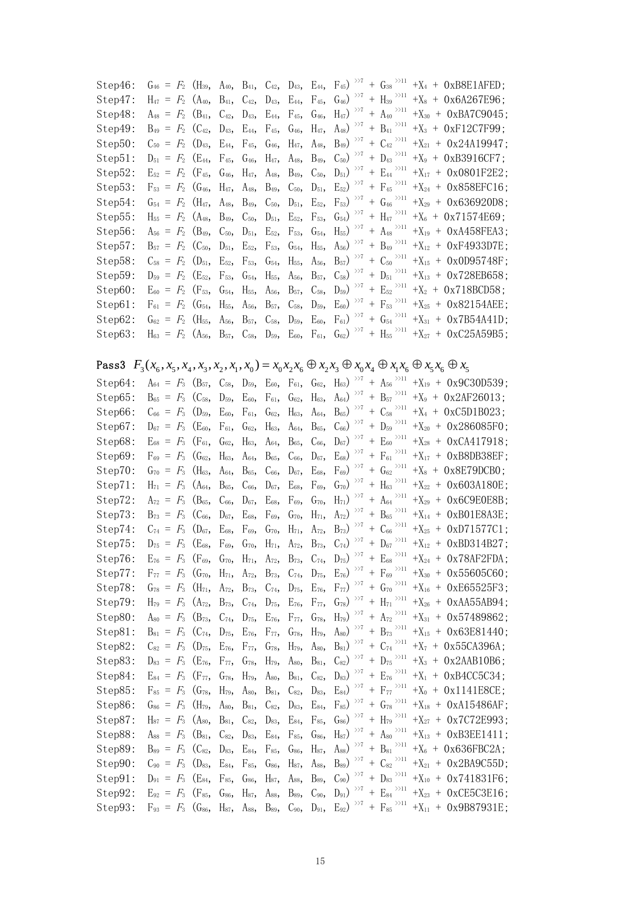| Step 46: | $G_{46} = F_2$ (H <sub>39</sub> , A <sub>40</sub> , B <sub>41</sub> , C <sub>42</sub> , D <sub>43</sub> , E <sub>44</sub> , F <sub>45</sub> ) <sup>&gt;&gt;7</sup> + G <sub>38</sub> <sup>&gt;&gt;11</sup>   |  |  |  |  |  | $+X_4 + 0xB8E1AFED$ ;    |
|----------|--------------------------------------------------------------------------------------------------------------------------------------------------------------------------------------------------------------|--|--|--|--|--|--------------------------|
| Step 47: | $H_{47} = F_2$ (A <sub>40</sub> , B <sub>41</sub> , C <sub>42</sub> , D <sub>43</sub> , E <sub>44</sub> , F <sub>45</sub> , G <sub>46</sub> ) <sup>&gt;&gt;7</sup> + H <sub>39</sub> <sup>&gt;&gt;11</sup>   |  |  |  |  |  | $+X_8 + 0x6A267E96$ ;    |
| Step48:  | $A_{48} = F_2$ (B <sub>41</sub> , C <sub>42</sub> , D <sub>43</sub> , E <sub>44</sub> , F <sub>45</sub> , G <sub>46</sub> , H <sub>47</sub> ) <sup>&gt;&gt;7</sup> + A <sub>40</sub> <sup>&gt;&gt;11</sup>   |  |  |  |  |  | $+X_{30} + 0xBA7C9045$ : |
| Step49:  | $B_{49} = F_2$ (C <sub>42</sub> , D <sub>43</sub> , E <sub>44</sub> , F <sub>45</sub> , G <sub>46</sub> , H <sub>47</sub> , A <sub>48</sub> ) <sup>&gt;&gt;7</sup> + B <sub>41</sub> <sup>&gt;&gt;11</sup>   |  |  |  |  |  | $+X_3 + 0xF12C7F99;$     |
| Step50:  | $C_{50}$ = $F_2$ (D <sub>43</sub> , E <sub>44</sub> , F <sub>45</sub> , G <sub>46</sub> , H <sub>47</sub> , A <sub>48</sub> , B <sub>49</sub> ) <sup>&gt;&gt;7</sup> + C <sub>42</sub> <sup>&gt;&gt;11</sup> |  |  |  |  |  | $+X_{21} + 0x24A19947$ : |
| Step51:  | $D_{51}$ = $F_2$ (E <sub>44</sub> , F <sub>45</sub> , G <sub>46</sub> , H <sub>47</sub> , A <sub>48</sub> , B <sub>49</sub> , C <sub>50</sub> ) <sup>&gt;&gt;7</sup> + D <sub>43</sub> <sup>&gt;&gt;11</sup> |  |  |  |  |  | $+X_9 + 0xB3916CF7$ ;    |
| Step52:  | $E_{52}$ = $F_2$ (F <sub>45</sub> , G <sub>46</sub> , H <sub>47</sub> , A <sub>48</sub> , B <sub>49</sub> , C <sub>50</sub> , D <sub>51</sub> ) <sup>&gt;&gt;7</sup> + E <sub>44</sub> <sup>&gt;&gt;11</sup> |  |  |  |  |  | $+X_{17} + 0x0801F2E2$ ; |
| Step 53: | $F_{53} = F_2$ (G <sub>46</sub> , H <sub>47</sub> , A <sub>48</sub> , B <sub>49</sub> , C <sub>50</sub> , D <sub>51</sub> , E <sub>52</sub> ) <sup>&gt;&gt;7</sup> + F <sub>45</sub> <sup>&gt;&gt;11</sup>   |  |  |  |  |  | $+X_{24} + 0x858EFC16$ ; |
| Step54:  | $G_{54} = F_2$ (H <sub>47</sub> , A <sub>48</sub> , B <sub>49</sub> , C <sub>50</sub> , D <sub>51</sub> , E <sub>52</sub> , F <sub>53</sub> ) <sup>&gt;&gt;7</sup> + G <sub>46</sub> <sup>&gt;&gt;11</sup>   |  |  |  |  |  | $+X_{29}$ + 0x636920D8;  |
| Step 55: | $H_{55} = F_2$ (A <sub>48</sub> , B <sub>49</sub> , C <sub>50</sub> , D <sub>51</sub> , E <sub>52</sub> , F <sub>53</sub> , G <sub>54</sub> ) <sup>&gt;&gt;7</sup> + H <sub>47</sub> <sup>&gt;&gt;11</sup>   |  |  |  |  |  | $+X_6 + 0x71574E69$ ;    |
| Step56:  | $A_{56} = F_2$ (B <sub>49</sub> , C <sub>50</sub> , D <sub>51</sub> , E <sub>52</sub> , F <sub>53</sub> , G <sub>54</sub> , H <sub>55</sub> ) <sup>&gt;&gt;7</sup> + A <sub>48</sub> <sup>&gt;&gt;11</sup>   |  |  |  |  |  | $+X_{19} + 0xA458FEA3$ ; |
| Step57:  | $B_{57} = F_2$ (C <sub>50</sub> , D <sub>51</sub> , E <sub>52</sub> , F <sub>53</sub> , G <sub>54</sub> , H <sub>55</sub> , A <sub>56</sub> ) <sup>&gt;&gt;7</sup> + B <sub>49</sub> <sup>&gt;&gt;11</sup>   |  |  |  |  |  | $+X_{12} + 0xF4933D7E$ ; |
| Step58:  | $C_{58}$ = $F_2$ (D <sub>51</sub> , E <sub>52</sub> , F <sub>53</sub> , G <sub>54</sub> , H <sub>55</sub> , A <sub>56</sub> , B <sub>57</sub> ) <sup>&gt;&gt;7</sup> + C <sub>50</sub> <sup>&gt;&gt;11</sup> |  |  |  |  |  | $+X_{15} + 0x0D95748F$ ; |
| Step59:  | $D_{59} = F_2$ (E <sub>52</sub> , F <sub>53</sub> , G <sub>54</sub> , H <sub>55</sub> , A <sub>56</sub> , B <sub>57</sub> , C <sub>58</sub> ) <sup>&gt;&gt;7</sup> + D <sub>51</sub> <sup>&gt;&gt;11</sup>   |  |  |  |  |  | $+X_{13} + 0x728EB658;$  |
| Step60:  | $E_{60} = F_2$ (F <sub>53</sub> , G <sub>54</sub> , H <sub>55</sub> , A <sub>56</sub> , B <sub>57</sub> , C <sub>58</sub> , D <sub>59</sub> ) <sup>&gt;&gt;7</sup> + E <sub>52</sub> <sup>&gt;&gt;11</sup>   |  |  |  |  |  | $+X_2 + 0x718BCD58$ ;    |
| Step61:  | $F_{61} = F_2$ (G <sub>54</sub> , H <sub>55</sub> , A <sub>56</sub> , B <sub>57</sub> , C <sub>58</sub> , D <sub>59</sub> , E <sub>60</sub> ) <sup>&gt;&gt;7</sup> + F <sub>53</sub> <sup>&gt;&gt;11</sup>   |  |  |  |  |  | $+X_{25}$ + 0x82154AEE;  |
| Step62:  | $G_{62} = F_2$ (H <sub>55</sub> , A <sub>56</sub> , B <sub>57</sub> , C <sub>58</sub> , D <sub>59</sub> , E <sub>60</sub> , F <sub>61</sub> ) <sup>&gt;&gt;7</sup> + G <sub>54</sub> <sup>&gt;&gt;11</sup>   |  |  |  |  |  | $+X_{31} + 0x7B54A41D$ ; |
| Step63:  | $H_{63} = F_2$ (A <sub>56</sub> , B <sub>57</sub> , C <sub>58</sub> , D <sub>59</sub> , E <sub>60</sub> , F <sub>61</sub> , G <sub>62</sub> ) <sup>&gt;&gt;7</sup> + H <sub>55</sub> <sup>&gt;&gt;11</sup>   |  |  |  |  |  | $+X_{27} + 0xC25A59B5$ ; |
|          |                                                                                                                                                                                                              |  |  |  |  |  |                          |

## **Pass3**  $F_3(x_6, x_5, x_4, x_3, x_2, x_1, x_0) = x_0 x_2 x_6 \oplus x_2 x_3 \oplus x_0 x_4 \oplus x_1 x_6 \oplus x_5 x_6 \oplus x_5$

| Step64: | $A_{64} = F_3$                | $(B_{57},$ | $C_{58}$          | $D_{59}$          | $E_{60}$          | $F_{61}$          | $G_{62}$          | $H_{63}$ ) $>7$                       | $+$ $\,$ Ass $^{>\!\times11}$                             |             | $+X_{19} + 0x9C30D539$ ; |
|---------|-------------------------------|------------|-------------------|-------------------|-------------------|-------------------|-------------------|---------------------------------------|-----------------------------------------------------------|-------------|--------------------------|
| Step65: | $B_{65}$<br>$\equiv$<br>$F_3$ | $(C_{58},$ | $D_{59}$          | $E_{60}$          | $F_{61}$ ,        | $G_{62}$ ,        | $H_{63}$          | $\mathrm{A}_{64})$ $\rightarrowtail$  | >>11<br>$+$ B <sub>57</sub>                               |             | $+X_9 + 0x2AF26013$ ;    |
| Step66: | $C_{66}$ =<br>$F_3$           | $(D_{59},$ | $E_{60}$          | $F_{61}$          | $G_{62}$ ,        | $H_{63}$          | $A_{64}$          | >>7<br>$B_{65}$ )                     | >>11<br>$+ C_{58}$                                        |             | $+X_4 + 0xC5D1B023;$     |
| Step67: | $F_3$<br>$D_{67}$ =           | $(E_{60},$ | $F_{61}$          | $G_{62}$          | $H_{63}$          | $A_{64}$          | B <sub>65</sub> , | $\gg$ 7<br>$C_{66}$ )<br>$^{+}$       | >>11<br>$D_{59}$                                          |             | $+X_{20} + 0x286085F0$ ; |
| Step68: | $F_{3}$<br>$E_{68}$ =         | $(F_{61},$ | $G_{62}$          | H <sub>63</sub> , | $A_{64}$          | $B_{65}$          | $C_{66}$ ,        | >>7<br>$D_{67}$                       | $+$ $\,$ E $_{60}$ $^{>\!\times11}$                       |             | $+X_{28} + 0xCA417918;$  |
| Step69: | $F_3$<br>$F_{69}$ =           | $(G_{62},$ | $H_{63}$          | $A_{64}$          | B <sub>65</sub> , | $C_{66}$          | $D_{67}$          | >>7<br>$E_{68}$                       | $\gg$ 11<br>$+ F_{61}$                                    | $+X_{17}$ + | 0xB8DB38EF;              |
| Step70: | $G_{70}$ =<br>$F_3$           | $(H_{63},$ | $A_{64}$          | $B_{65}$          | $C_{66}$          | $D_{67}$          | $E_{68}$          | $\gg$<br>$F_{69}$                     | >>11<br>+ $G_{62}$                                        |             | $+X_8 + 0x8E79DCB0$ ;    |
| Step71: | $H_{71}$<br>$F_3$<br>$\equiv$ | $(A_{64},$ | $B_{65}$          | $C_{66}$          | $D_{67}$          | $E_{68}$ ,        | F <sub>69</sub> , | >>7<br>$G_{70}$ )                     | $\gg\geq 11$<br>$+$ H <sub>63</sub>                       |             | $+X_{22} + 0x603A180E$ ; |
| Step72: | $F_{3}$<br>$A_{72}$ =         | $(B_{65},$ | $C_{66}$          | $D_{67}$          | E <sub>68</sub> , | $F_{69}$          | G <sub>70</sub> , | >>7<br>$H_{71}$ )                     | >>11<br>$+$ A <sub>64</sub>                               |             | $+X_{29} + 0x6C9E0E8B;$  |
| Step73: | $\,F_3\,$<br>$B_{73}$ =       | $(C_{66},$ | $D_{67}$          | $E_{68}$          | $F_{69}$          | $G_{70}$ ,        | $H_{71}$ ,        | $\gg$<br>$A_{72}$                     | >>11<br>$+ B_{65}$                                        |             | $+X_{14} + 0xB01E8A3E$ ; |
| Step74: | $C_{74}$ =<br>$F_{3}$         | $(D_{67},$ | E <sub>68</sub> , | F <sub>69</sub> , | $G_{70}$          | $H_{71}$ ,        | $A_{72}$          | $\gg$<br>$B_{73}$ )                   | $+ \ \textrm{C}_{66}^{\quad \  \, \triangleright 11}$     |             | $+X_{25} + 0xD71577C1;$  |
| Step75: | $D_{75}$ =<br>$F_3$           | $(E_{68},$ | $F_{69}$          | $G_{70}$          | $H_{71}$ ,        | $A_{72}$          | B <sub>73</sub> , | >>7<br>$C_{74}$ )<br>$^{+}$           | >>11<br>$D_{67}$                                          | $+X_{12}$ + | 0xBD314B27;              |
| Step76: | $F_3$<br>$E_{76}$ =           | $(F_{69},$ | $G_{70}$ ,        | $H_{71}$ ,        | $A_{72}$ ,        | $B_{73}$          | $C_{74}$          | >>7<br>$D_{75}$                       | $+$ $\,$ E $_{68}$ $^{>\!\times 11}$                      |             | $+X_{24} + 0x78AF2FDA;$  |
| Step77: | $F_{3}$<br>$F_{77}$ =         | $(G_{70},$ | $H_{71}$ ,        | $A_{72}$          | $B_{73}$ ,        | $C_{74}$          | $D_{75}$          | >>7<br>$E_{76}$                       | >>11<br>$+ F_{69}$                                        |             | $+X_{30} + 0x55605C60;$  |
| Step78: | $F_{3}$<br>$G_{78}$ =         | $(H_{71},$ | $A_{72}$          | $B_{73}$          | $C_{74}$ ,        | $D_{75}$          | E <sub>76</sub> , | $\gg$<br>$F_{77}$                     | $+ \ \mathsf{G}_{70}^{\quad \  \, \mathsf{\geqslant} 11}$ |             | $+X_{16} + 0xE65525F3$ ; |
| Step79: | $F_3$<br>$H_{79}$ =           | $(A_{72},$ | $B_{73}$          | $C_{74}$ ,        | $D_{75}$          | $E_{76}$          | $F_{77}$          | >>7<br>$\boldsymbol{+}$<br>$G_{78}$ ) | >>11<br>$H_{71}$                                          |             | $+X_{26}$ + 0xAA55AB94;  |
| Step80: | $F_{3}$<br>$A_{80}$ =         | $(B_{73},$ | $C_{74}$ ,        | $D_{75}$          | E <sub>76</sub> , | F <sub>77</sub> , | G <sub>78</sub> , | >>7<br>$H_{79}$                       | $+$ $\left. A_{72}\right. ^{\rightarrow >11}$             |             | $+X_{31} + 0x57489862$ ; |
| Step81: | $F_{3}$<br>$B_{81}$ =         | $(C_{74},$ | $D_{75}$          | $E_{76}$          | F <sub>77</sub> , | $G_{78}$ ,        | H <sub>79</sub> , | >>7<br>$\boldsymbol{+}$<br>$A_{80}$   | >>11<br>$B_{73}$                                          |             | $+X_{15} + 0x63E81440$ ; |
| Step82: | $F_3$<br>$C_{82}$ =           | $(D_{75},$ | $E_{76}$          | $F_{77}$          | $G_{78}$          | $H_{79}$          | $A_{80}$          | >>7<br>$B_{81}$ )                     | + $\left. C_{74}\right. ^{\rightarrow >11}$               |             | $+X_7 + 0x55CA396A;$     |
| Step83: | $F_3$<br>$D_{83}$ =           | $(E_{76},$ | $F_{77}$          | $G_{78}$          | $H_{79}$          | $A_{80}$          | $B_{81}$ ,        | $\gg$ 7<br>$C_{82}$ )                 | $\gg$ 11<br>$+$ D <sub>75</sub>                           |             | $+X_3 + 0x2AAB10B6$ ;    |
| Step84: | $F_3$<br>$E_{84}$ =           | $(F_{77},$ | G <sub>78</sub> , | H <sub>79</sub> , | $A_{80}$          | $B_{81}$ ,        | $C_{82}$          | >>7<br>$D_{83}$                       | $+$ $\,$ E $_{76}$ $^{>\!\times11}$                       |             | $+X_1 + 0xB4CC5C34;$     |
| Step85: | $F_{85}$ =<br>$\,F_3\,$       | $(G_{78},$ | $H_{79}$          | $A_{80}$          | $B_{81}$          | $C_{82}$          | $D_{83}$          | >>7<br>$E_{84}$ )                     | $+$ $\mbox{F}_{77}$<br>$^{>11}$                           |             | $+X_0 + 0x1141E8CE;$     |
| Step86: | $G_{86}$ =<br>$F_3$           | $(H_{79},$ | $A_{80}$          | $B_{81}$ ,        | $C_{82}$          | $D_{83}$          | $E_{84}$          | >>7<br>$F_{85}$                       | $+$ $\,$ G78 $^{>\!\times11}$                             | $+X_{18}$ + | 0xA15486AF;              |
| Step87: | $H_{87}$ =<br>$F_3$           | $(A_{80},$ | $B_{81}$ ,        | $C_{82}$          | $D_{83}$          | $E_{84}$          | $F_{85}$          | >>7<br>$\left( \frac{1}{686} \right)$ | >>11<br>$+$ H <sub>79</sub>                               | $+X_{27}$ + | 0x7C72E993;              |
| Step88: | $F_{3}$<br>$A_{88}$ =         | $(B_{81},$ | $C_{82}$          | $D_{83}$          | $E_{84}$          | $F_{85}$          | G <sub>86</sub>   | $\gg$<br>H <sub>87</sub>              | >>11<br>$A_{80}$                                          | $+X_{13}$ + | 0xB3EE1411;              |
| Step89: | $F_3$<br>$B_{89}$ =           | $(C_{82},$ | $D_{83}$          | $E_{84}$ ,        | $F_{85}$ ,        | $G_{86}$          | $H_{87}$          | >>7<br>$A_{88}$ )<br>$\! + \!\!\!\!$  | >>11<br>$B_{81}$                                          |             | $+X_6 + 0x636FBC2A$ ;    |
| Step90: | $\mathbb{F}_3$<br>$C_{90}$ =  | $(D_{83},$ | $E_{84}$          | F <sub>85</sub> , | $G_{86}$          | $H_{87}$          | $A_{88}$          | >>7<br>$B_{89}$<br>$\boldsymbol{+}$   | $\mathrm{C}_{82} \xrightarrow{> \times 11}$               | $+X_{21}$ + | $0x2BA9C55D$ ;           |
| Step91: | $D_{91}$<br>$F_3$<br>$\equiv$ | $(E_{84},$ | $F_{85}$          | $G_{86}$          | $H_{87}$          | $A_{88}$          | B <sub>89</sub> , | >>7<br>$C_{90}$                       | >>11<br>$+$ $D_{83}$                                      |             | $+X_{10} + 0x741831F6$ ; |
| Step92: | $F_3$<br>$E_{92}$<br>$\equiv$ | $(F_{85},$ | $G_{86}$          | H <sub>87</sub> , | $A_{88}$          | $B_{89}$          | $C_{90}$          | >>7<br>$D_{91}$ )<br>$^{+}$           | >>11<br>$E_{84}$                                          | $+X_{23}$ + | 0xCE5C3E16;              |
| Step93: | $F_{93} = F_3$                | $(G_{86},$ | H <sub>87</sub> , | $A_{88}$          | B <sub>89</sub> , | $C_{90}$          | $D_{91}$          | >>7<br>$E_{92}$                       | >>11<br>$+ F_{85}$                                        |             | $+X_{11} + 0x9B87931E$ ; |